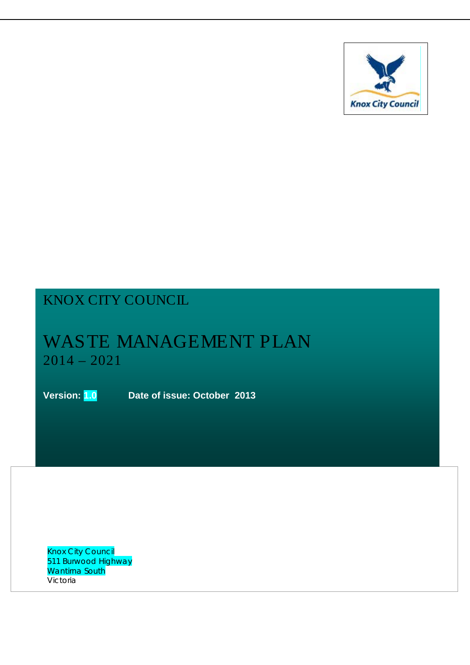

# KNOX CITY COUNCIL

# WASTE MANAGEMENT PLAN 2014 – 2021

**Version: 1.0 Date of issue: October 2013**

Knox City Council 511 Burwood Highway Wantirna South Victoria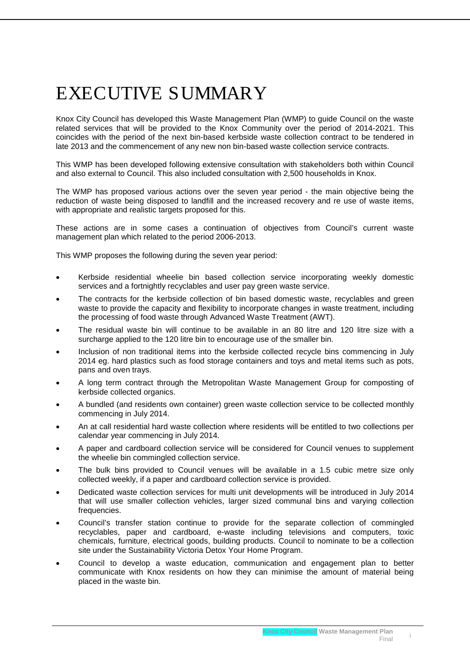# EXECUTIVE SUMMARY

Knox City Council has developed this Waste Management Plan (WMP) to guide Council on the waste related services that will be provided to the Knox Community over the period of 2014-2021. This coincides with the period of the next bin-based kerbside waste collection contract to be tendered in late 2013 and the commencement of any new non bin-based waste collection service contracts.

This WMP has been developed following extensive consultation with stakeholders both within Council and also external to Council. This also included consultation with 2,500 households in Knox.

The WMP has proposed various actions over the seven year period - the main objective being the reduction of waste being disposed to landfill and the increased recovery and re use of waste items, with appropriate and realistic targets proposed for this.

These actions are in some cases a continuation of objectives from Council's current waste management plan which related to the period 2006-2013.

This WMP proposes the following during the seven year period:

- Kerbside residential wheelie bin based collection service incorporating weekly domestic services and a fortnightly recyclables and user pay green waste service.
- The contracts for the kerbside collection of bin based domestic waste, recyclables and green waste to provide the capacity and flexibility to incorporate changes in waste treatment, including the processing of food waste through Advanced Waste Treatment (AWT).
- The residual waste bin will continue to be available in an 80 litre and 120 litre size with a surcharge applied to the 120 litre bin to encourage use of the smaller bin.
- Inclusion of non traditional items into the kerbside collected recycle bins commencing in July 2014 eg. hard plastics such as food storage containers and toys and metal items such as pots, pans and oven trays.
- A long term contract through the Metropolitan Waste Management Group for composting of kerbside collected organics.
- A bundled (and residents own container) green waste collection service to be collected monthly commencing in July 2014.
- An at call residential hard waste collection where residents will be entitled to two collections per calendar year commencing in July 2014.
- A paper and cardboard collection service will be considered for Council venues to supplement the wheelie bin commingled collection service.
- The bulk bins provided to Council venues will be available in a 1.5 cubic metre size only collected weekly, if a paper and cardboard collection service is provided.
- Dedicated waste collection services for multi unit developments will be introduced in July 2014 that will use smaller collection vehicles, larger sized communal bins and varying collection frequencies.
- Council's transfer station continue to provide for the separate collection of commingled recyclables, paper and cardboard, e-waste including televisions and computers, toxic chemicals, furniture, electrical goods, building products. Council to nominate to be a collection site under the Sustainability Victoria Detox Your Home Program.
- Council to develop a waste education, communication and engagement plan to better communicate with Knox residents on how they can minimise the amount of material being placed in the waste bin.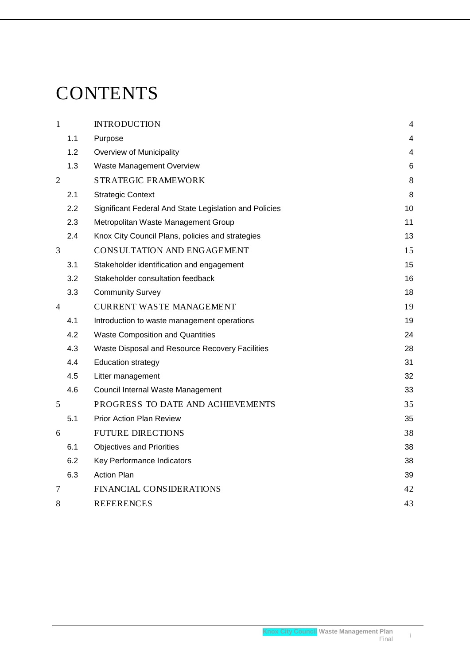# **CONTENTS**

| $\mathbf{1}$   | <b>INTRODUCTION</b>                                    | $\overline{4}$ |
|----------------|--------------------------------------------------------|----------------|
| 1.1            | Purpose                                                | 4              |
| 1.2            | Overview of Municipality                               | 4              |
| 1.3            | Waste Management Overview                              | 6              |
| $\overline{2}$ | <b>STRATEGIC FRAMEWORK</b>                             | 8              |
| 2.1            | <b>Strategic Context</b>                               | 8              |
| 2.2            | Significant Federal And State Legislation and Policies | 10             |
| 2.3            | Metropolitan Waste Management Group                    | 11             |
| 2.4            | Knox City Council Plans, policies and strategies       | 13             |
| 3              | CONSULTATION AND ENGAGEMENT                            | 15             |
| 3.1            | Stakeholder identification and engagement              | 15             |
| 3.2            | Stakeholder consultation feedback                      | 16             |
| 3.3            | <b>Community Survey</b>                                | 18             |
| $\overline{4}$ | <b>CURRENT WASTE MANAGEMENT</b>                        | 19             |
| 4.1            | Introduction to waste management operations            | 19             |
| 4.2            | <b>Waste Composition and Quantities</b>                | 24             |
| 4.3            | Waste Disposal and Resource Recovery Facilities        | 28             |
| 4.4            | <b>Education strategy</b>                              | 31             |
| 4.5            | Litter management                                      | 32             |
| 4.6            | Council Internal Waste Management                      | 33             |
| 5              | PROGRESS TO DATE AND ACHIEVEMENTS                      | 35             |
| 5.1            | <b>Prior Action Plan Review</b>                        | 35             |
| 6              | <b>FUTURE DIRECTIONS</b>                               | 38             |
| 6.1            | <b>Objectives and Priorities</b>                       | 38             |
| 6.2            | Key Performance Indicators                             | 38             |
| 6.3            | <b>Action Plan</b>                                     | 39             |
| 7              | <b>FINANCIAL CONSIDERATIONS</b>                        | 42             |
| 8              | <b>REFERENCES</b>                                      | 43             |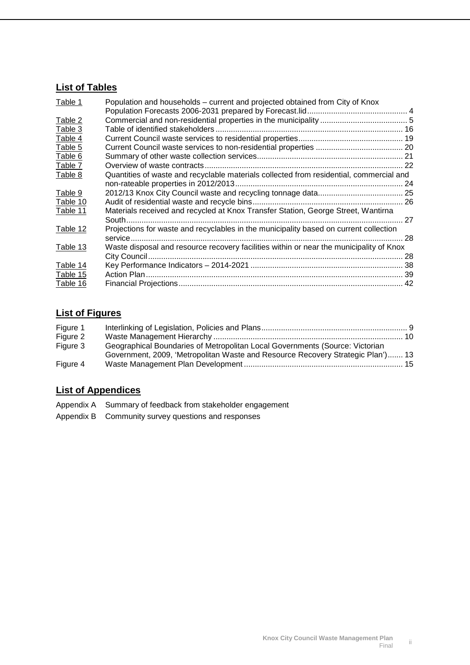# **List of Tables**

| Table 1  | Population and households – current and projected obtained from City of Knox            |     |
|----------|-----------------------------------------------------------------------------------------|-----|
|          |                                                                                         |     |
| Table 2  |                                                                                         |     |
| Table 3  |                                                                                         |     |
| Table 4  |                                                                                         |     |
| Table 5  |                                                                                         |     |
| Table 6  |                                                                                         |     |
| Table 7  |                                                                                         |     |
| Table 8  | Quantities of waste and recyclable materials collected from residential, commercial and |     |
|          |                                                                                         |     |
| Table 9  |                                                                                         |     |
| Table 10 |                                                                                         |     |
| Table 11 | Materials received and recycled at Knox Transfer Station, George Street, Wantirna       |     |
|          |                                                                                         | 27  |
| Table 12 | Projections for waste and recyclables in the municipality based on current collection   |     |
|          |                                                                                         | -28 |
| Table 13 | Waste disposal and resource recovery facilities within or near the municipality of Knox |     |
|          |                                                                                         |     |
| Table 14 |                                                                                         |     |
| Table 15 |                                                                                         |     |
| Table 16 |                                                                                         |     |

# **List of Figures**

| Figure 1 |                                                                                 |  |
|----------|---------------------------------------------------------------------------------|--|
| Figure 2 |                                                                                 |  |
| Figure 3 | Geographical Boundaries of Metropolitan Local Governments (Source: Victorian    |  |
|          | Government, 2009, 'Metropolitan Waste and Resource Recovery Strategic Plan') 13 |  |
| Figure 4 |                                                                                 |  |

# **List of Appendices**

- Appendix A Summary of feedback from stakeholder engagement
- Appendix B Community survey questions and responses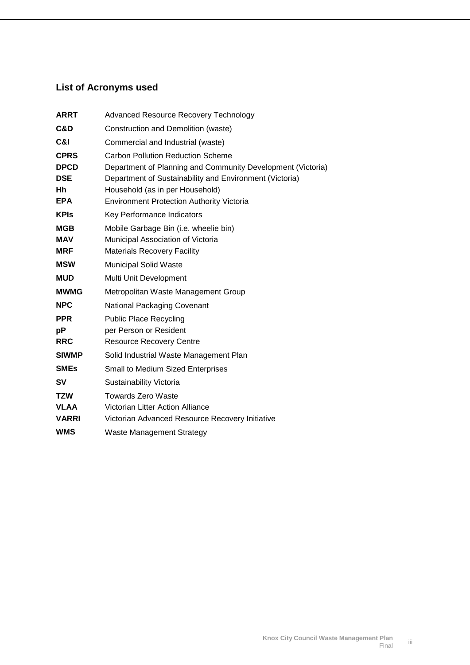# **List of Acronyms used**

| <b>ARRT</b>  | <b>Advanced Resource Recovery Technology</b>                |
|--------------|-------------------------------------------------------------|
| C&D          | Construction and Demolition (waste)                         |
| C&I          | Commercial and Industrial (waste)                           |
| <b>CPRS</b>  | <b>Carbon Pollution Reduction Scheme</b>                    |
| <b>DPCD</b>  | Department of Planning and Community Development (Victoria) |
| <b>DSE</b>   | Department of Sustainability and Environment (Victoria)     |
| Hh           | Household (as in per Household)                             |
| <b>EPA</b>   | <b>Environment Protection Authority Victoria</b>            |
| <b>KPIs</b>  | Key Performance Indicators                                  |
| <b>MGB</b>   | Mobile Garbage Bin (i.e. wheelie bin)                       |
| <b>MAV</b>   | Municipal Association of Victoria                           |
| <b>MRF</b>   | <b>Materials Recovery Facility</b>                          |
| <b>MSW</b>   | <b>Municipal Solid Waste</b>                                |
| <b>MUD</b>   | Multi Unit Development                                      |
| <b>MWMG</b>  | Metropolitan Waste Management Group                         |
| <b>NPC</b>   | National Packaging Covenant                                 |
| <b>PPR</b>   | <b>Public Place Recycling</b>                               |
| рP           | per Person or Resident                                      |
| <b>RRC</b>   | <b>Resource Recovery Centre</b>                             |
| <b>SIWMP</b> | Solid Industrial Waste Management Plan                      |
| <b>SMEs</b>  | Small to Medium Sized Enterprises                           |
| SV           | Sustainability Victoria                                     |
| <b>TZW</b>   | <b>Towards Zero Waste</b>                                   |
| <b>VLAA</b>  | Victorian Litter Action Alliance                            |
| <b>VARRI</b> | Victorian Advanced Resource Recovery Initiative             |
| <b>WMS</b>   | <b>Waste Management Strategy</b>                            |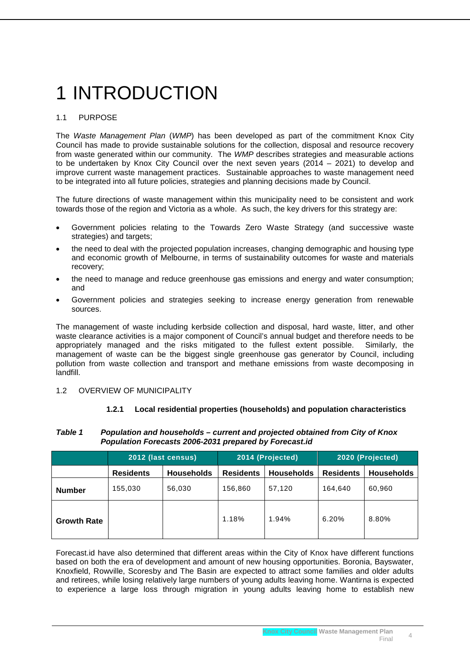# <span id="page-5-0"></span>1 INTRODUCTION

# <span id="page-5-1"></span>1.1 PURPOSE

The *Waste Management Plan* (*WMP*) has been developed as part of the commitment Knox City Council has made to provide sustainable solutions for the collection, disposal and resource recovery from waste generated within our community. The *WMP* describes strategies and measurable actions to be undertaken by Knox City Council over the next seven years (2014 – 2021) to develop and improve current waste management practices. Sustainable approaches to waste management need to be integrated into all future policies, strategies and planning decisions made by Council.

The future directions of waste management within this municipality need to be consistent and work towards those of the region and Victoria as a whole. As such, the key drivers for this strategy are:

- Government policies relating to the Towards Zero Waste Strategy (and successive waste strategies) and targets;
- the need to deal with the projected population increases, changing demographic and housing type and economic growth of Melbourne, in terms of sustainability outcomes for waste and materials recovery;
- the need to manage and reduce greenhouse gas emissions and energy and water consumption; and
- Government policies and strategies seeking to increase energy generation from renewable sources.

The management of waste including kerbside collection and disposal, hard waste, litter, and other waste clearance activities is a major component of Council's annual budget and therefore needs to be appropriately managed and the risks mitigated to the fullest extent possible. Similarly, the management of waste can be the biggest single greenhouse gas generator by Council, including pollution from waste collection and transport and methane emissions from waste decomposing in landfill.

#### <span id="page-5-2"></span>1.2 OVERVIEW OF MUNICIPALITY

#### **1.2.1 Local residential properties (households) and population characteristics**

#### *Table 1 Population and households – current and projected obtained from City of Knox Population Forecasts 2006-2031 prepared by Forecast.id*

|                    | 2012 (last census) |                   | 2014 (Projected) |                   | 2020 (Projected) |                   |
|--------------------|--------------------|-------------------|------------------|-------------------|------------------|-------------------|
|                    | <b>Residents</b>   | <b>Households</b> | <b>Residents</b> | <b>Households</b> | <b>Residents</b> | <b>Households</b> |
| <b>Number</b>      | 155.030            | 56,030            | 156,860          | 57,120            | 164.640          | 60.960            |
| <b>Growth Rate</b> |                    |                   | 1.18%            | 1.94%             | 6.20%            | 8.80%             |

Forecast.id have also determined that different areas within the City of Knox have different functions based on both the era of development and amount of new housing opportunities. Boronia, Bayswater, Knoxfield, Rowville, Scoresby and The Basin are expected to attract some families and older adults and retirees, while losing relatively large numbers of young adults leaving home. Wantirna is expected to experience a large loss through migration in young adults leaving home to establish new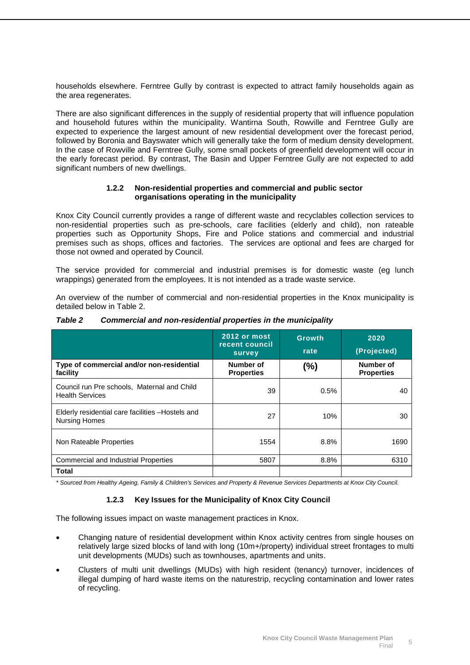households elsewhere. Ferntree Gully by contrast is expected to attract family households again as the area regenerates.

There are also significant differences in the supply of residential property that will influence population and household futures within the municipality. Wantirna South, Rowville and Ferntree Gully are expected to experience the largest amount of new residential development over the forecast period, followed by Boronia and Bayswater which will generally take the form of medium density development. In the case of Rowville and Ferntree Gully, some small pockets of greenfield development will occur in the early forecast period. By contrast, The Basin and Upper Ferntree Gully are not expected to add significant numbers of new dwellings.

#### **1.2.2 Non-residential properties and commercial and public sector organisations operating in the municipality**

Knox City Council currently provides a range of different waste and recyclables collection services to non-residential properties such as pre-schools, care facilities (elderly and child), non rateable properties such as Opportunity Shops, Fire and Police stations and commercial and industrial premises such as shops, offices and factories. The services are optional and fees are charged for those not owned and operated by Council.

The service provided for commercial and industrial premises is for domestic waste (eg lunch wrappings) generated from the employees. It is not intended as a trade waste service.

An overview of the number of commercial and non-residential properties in the Knox municipality is detailed below in Table 2.

|                                                                           | <b>2012 or most</b><br>recent council<br>survey | <b>Growth</b><br>rate | 2020<br>(Projected)            |
|---------------------------------------------------------------------------|-------------------------------------------------|-----------------------|--------------------------------|
| Type of commercial and/or non-residential<br>facility                     | Number of<br><b>Properties</b>                  | $(\%)$                | Number of<br><b>Properties</b> |
| Council run Pre schools, Maternal and Child<br><b>Health Services</b>     | 39                                              | 0.5%                  | 40                             |
| Elderly residential care facilities - Hostels and<br><b>Nursing Homes</b> | 27                                              | 10%                   | 30                             |
| Non Rateable Properties                                                   | 1554                                            | 8.8%                  | 1690                           |
| <b>Commercial and Industrial Properties</b>                               | 5807                                            | 8.8%                  | 6310                           |
| <b>Total</b>                                                              |                                                 |                       |                                |

*Table 2 Commercial and non-residential properties in the municipality*

*\* Sourced from Healthy Ageing, Family & Children's Services and Property & Revenue Services Departments at Knox City Council.*

#### **1.2.3 Key Issues for the Municipality of Knox City Council**

The following issues impact on waste management practices in Knox.

- Changing nature of residential development within Knox activity centres from single houses on relatively large sized blocks of land with long (10m+/property) individual street frontages to multi unit developments (MUDs) such as townhouses, apartments and units.
- Clusters of multi unit dwellings (MUDs) with high resident (tenancy) turnover, incidences of illegal dumping of hard waste items on the naturestrip, recycling contamination and lower rates of recycling.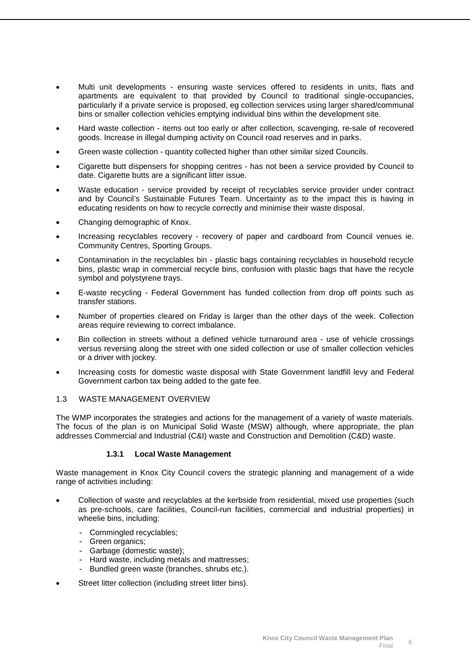- Multi unit developments ensuring waste services offered to residents in units, flats and apartments are equivalent to that provided by Council to traditional single-occupancies, particularly if a private service is proposed, eg collection services using larger shared/communal bins or smaller collection vehicles emptying individual bins within the development site.
- Hard waste collection items out too early or after collection, scavenging, re-sale of recovered goods. Increase in illegal dumping activity on Council road reserves and in parks.
- Green waste collection quantity collected higher than other similar sized Councils.
- Cigarette butt dispensers for shopping centres has not been a service provided by Council to date. Cigarette butts are a significant litter issue.
- Waste education service provided by receipt of recyclables service provider under contract and by Council's Sustainable Futures Team. Uncertainty as to the impact this is having in educating residents on how to recycle correctly and minimise their waste disposal.
- Changing demographic of Knox.
- Increasing recyclables recovery recovery of paper and cardboard from Council venues ie. Community Centres, Sporting Groups.
- Contamination in the recyclables bin plastic bags containing recyclables in household recycle bins, plastic wrap in commercial recycle bins, confusion with plastic bags that have the recycle symbol and polystyrene trays.
- E-waste recycling Federal Government has funded collection from drop off points such as transfer stations.
- Number of properties cleared on Friday is larger than the other days of the week. Collection areas require reviewing to correct imbalance.
- Bin collection in streets without a defined vehicle turnaround area use of vehicle crossings versus reversing along the street with one sided collection or use of smaller collection vehicles or a driver with jockey.
- Increasing costs for domestic waste disposal with State Government landfill levy and Federal Government carbon tax being added to the gate fee.

#### <span id="page-7-0"></span>1.3 WASTE MANAGEMENT OVERVIEW

The WMP incorporates the strategies and actions for the management of a variety of waste materials. The focus of the plan is on Municipal Solid Waste (MSW) although, where appropriate, the plan addresses Commercial and Industrial (C&I) waste and Construction and Demolition (C&D) waste.

#### **1.3.1 Local Waste Management**

Waste management in Knox City Council covers the strategic planning and management of a wide range of activities including:

- Collection of waste and recyclables at the kerbside from residential, mixed use properties (such as pre-schools, care facilities, Council-run facilities, commercial and industrial properties) in wheelie bins, including:
	- Commingled recyclables;
	- Green organics;
	- Garbage (domestic waste);
	- Hard waste, including metals and mattresses;
	- Bundled green waste (branches, shrubs etc.).
- Street litter collection (including street litter bins).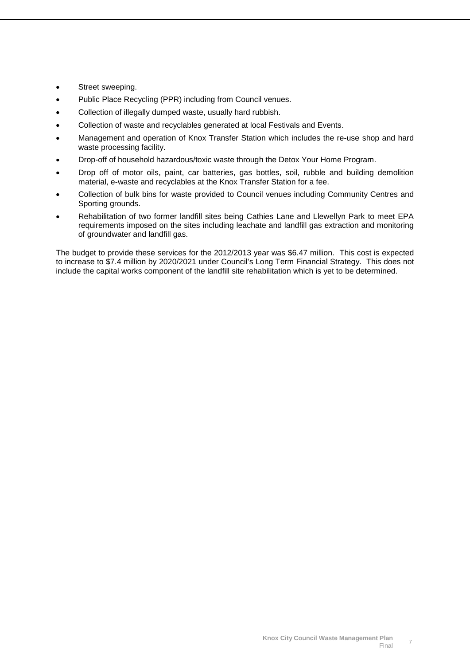- Street sweeping.
- Public Place Recycling (PPR) including from Council venues.
- Collection of illegally dumped waste, usually hard rubbish.
- Collection of waste and recyclables generated at local Festivals and Events.
- Management and operation of Knox Transfer Station which includes the re-use shop and hard waste processing facility.
- Drop-off of household hazardous/toxic waste through the Detox Your Home Program.
- Drop off of motor oils, paint, car batteries, gas bottles, soil, rubble and building demolition material, e-waste and recyclables at the Knox Transfer Station for a fee.
- Collection of bulk bins for waste provided to Council venues including Community Centres and Sporting grounds.
- Rehabilitation of two former landfill sites being Cathies Lane and Llewellyn Park to meet EPA requirements imposed on the sites including leachate and landfill gas extraction and monitoring of groundwater and landfill gas.

The budget to provide these services for the 2012/2013 year was \$6.47 million. This cost is expected to increase to \$7.4 million by 2020/2021 under Council's Long Term Financial Strategy. This does not include the capital works component of the landfill site rehabilitation which is yet to be determined.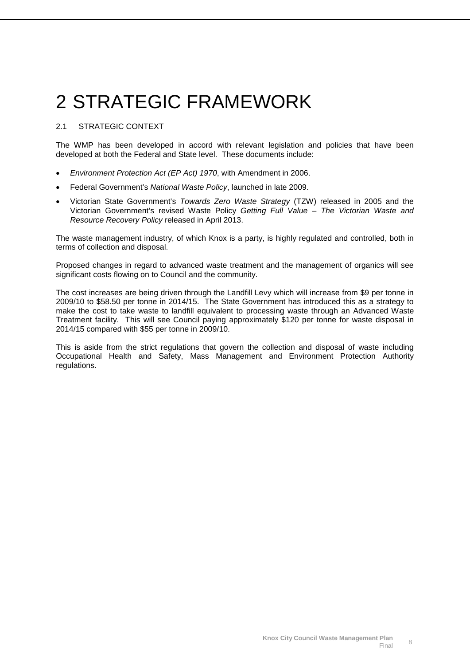# <span id="page-9-0"></span>2 STRATEGIC FRAMEWORK

### <span id="page-9-1"></span>2.1 STRATEGIC CONTEXT

The WMP has been developed in accord with relevant legislation and policies that have been developed at both the Federal and State level. These documents include:

- *Environment Protection Act (EP Act) 1970*, with Amendment in 2006.
- Federal Government's *National Waste Policy*, launched in late 2009.
- Victorian State Government's *Towards Zero Waste Strategy* (TZW) released in 2005 and the Victorian Government's revised Waste Policy *Getting Full Value – The Victorian Waste and Resource Recovery Policy* released in April 2013.

The waste management industry, of which Knox is a party, is highly regulated and controlled, both in terms of collection and disposal.

Proposed changes in regard to advanced waste treatment and the management of organics will see significant costs flowing on to Council and the community.

The cost increases are being driven through the Landfill Levy which will increase from \$9 per tonne in 2009/10 to \$58.50 per tonne in 2014/15. The State Government has introduced this as a strategy to make the cost to take waste to landfill equivalent to processing waste through an Advanced Waste Treatment facility. This will see Council paying approximately \$120 per tonne for waste disposal in 2014/15 compared with \$55 per tonne in 2009/10.

This is aside from the strict regulations that govern the collection and disposal of waste including Occupational Health and Safety, Mass Management and Environment Protection Authority regulations.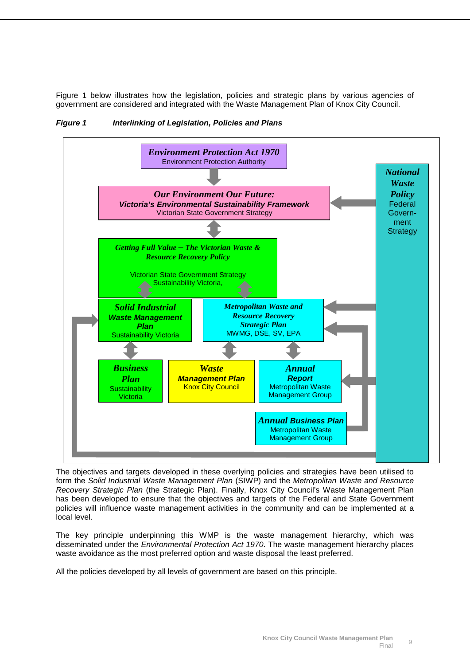Figure 1 below illustrates how the legislation, policies and strategic plans by various agencies of government are considered and integrated with the Waste Management Plan of Knox City Council.



<span id="page-10-0"></span>*Figure 1 Interlinking of Legislation, Policies and Plans*

The objectives and targets developed in these overlying policies and strategies have been utilised to form the *Solid Industrial Waste Management Plan* (SIWP) and the *Metropolitan Waste and Resource Recovery Strategic Plan* (the Strategic Plan). Finally, Knox City Council's Waste Management Plan has been developed to ensure that the objectives and targets of the Federal and State Government policies will influence waste management activities in the community and can be implemented at a local level.

The key principle underpinning this WMP is the waste management hierarchy, which was disseminated under the *Environmental Protection Act 1970*. The waste management hierarchy places waste avoidance as the most preferred option and waste disposal the least preferred.

All the policies developed by all levels of government are based on this principle.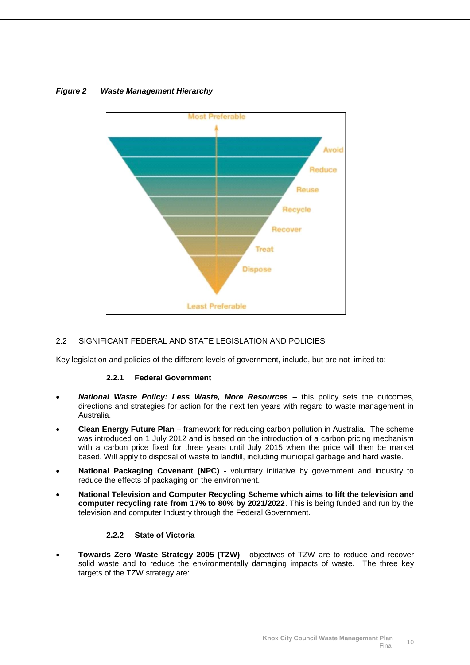

# <span id="page-11-1"></span>*Figure 2 Waste Management Hierarchy*

#### <span id="page-11-0"></span>2.2 SIGNIFICANT FEDERAL AND STATE LEGISLATION AND POLICIES

Key legislation and policies of the different levels of government, include, but are not limited to:

#### **2.2.1 Federal Government**

- *National Waste Policy: Less Waste, More Resources* this policy sets the outcomes, directions and strategies for action for the next ten years with regard to waste management in Australia.
- **Clean Energy Future Plan** framework for reducing carbon pollution in Australia. The scheme was introduced on 1 July 2012 and is based on the introduction of a carbon pricing mechanism with a carbon price fixed for three years until July 2015 when the price will then be market based. Will apply to disposal of waste to landfill, including municipal garbage and hard waste.
- **National Packaging Covenant (NPC)** voluntary initiative by government and industry to reduce the effects of packaging on the environment.
- **National Television and Computer Recycling Scheme which aims to lift the television and computer recycling rate from 17% to 80% by 2021/2022**. This is being funded and run by the television and computer Industry through the Federal Government.

#### **2.2.2 State of Victoria**

• **Towards Zero Waste Strategy 2005 (TZW)** - objectives of TZW are to reduce and recover solid waste and to reduce the environmentally damaging impacts of waste. The three key targets of the TZW strategy are: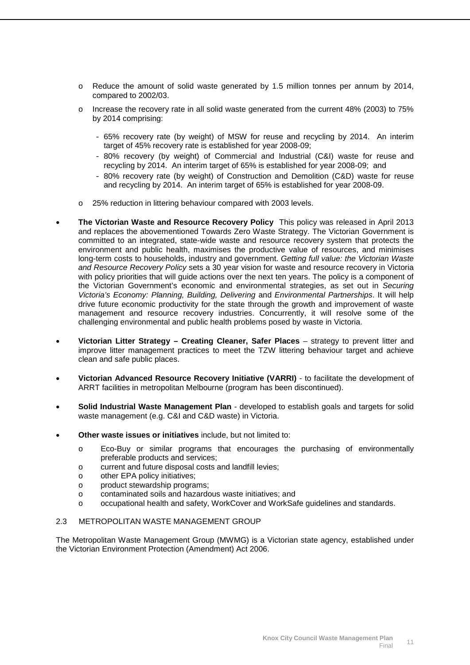- o Reduce the amount of solid waste generated by 1.5 million tonnes per annum by 2014, compared to 2002/03.
- $\circ$  Increase the recovery rate in all solid waste generated from the current 48% (2003) to 75% by 2014 comprising:
	- 65% recovery rate (by weight) of MSW for reuse and recycling by 2014. An interim target of 45% recovery rate is established for year 2008-09;
	- 80% recovery (by weight) of Commercial and Industrial (C&I) waste for reuse and recycling by 2014. An interim target of 65% is established for year 2008-09; and
	- 80% recovery rate (by weight) of Construction and Demolition (C&D) waste for reuse and recycling by 2014. An interim target of 65% is established for year 2008-09.
- o 25% reduction in littering behaviour compared with 2003 levels.
- **The Victorian Waste and Resource Recovery Policy** This policy was released in April 2013 and replaces the abovementioned Towards Zero Waste Strategy. The Victorian Government is committed to an integrated, state-wide waste and resource recovery system that protects the environment and public health, maximises the productive value of resources, and minimises long-term costs to households, industry and government. *Getting full value: the Victorian Waste and Resource Recovery Policy* sets a 30 year vision for waste and resource recovery in Victoria with policy priorities that will guide actions over the next ten years. The policy is a component of the Victorian Government's economic and environmental strategies, as set out in *Securing Victoria's Economy: Planning, Building, Delivering* and *Environmental Partnerships*. It will help drive future economic productivity for the state through the growth and improvement of waste management and resource recovery industries. Concurrently, it will resolve some of the challenging environmental and public health problems posed by waste in Victoria.
- **Victorian Litter Strategy – Creating Cleaner, Safer Places** strategy to prevent litter and improve litter management practices to meet the TZW littering behaviour target and achieve clean and safe public places.
- **Victorian Advanced Resource Recovery Initiative (VARRI)** to facilitate the development of ARRT facilities in metropolitan Melbourne (program has been discontinued).
- **Solid Industrial Waste Management Plan** developed to establish goals and targets for solid waste management (e.g. C&I and C&D waste) in Victoria.
- **Other waste issues or initiatives** include, but not limited to:
	- o Eco-Buy or similar programs that encourages the purchasing of environmentally preferable products and services;
	- o current and future disposal costs and landfill levies;
	- o other EPA policy initiatives;
	- o product stewardship programs;<br>o contaminated soils and hazardo
	- o contaminated soils and hazardous waste initiatives; and
	- o occupational health and safety, WorkCover and WorkSafe guidelines and standards.

#### <span id="page-12-0"></span>2.3 METROPOLITAN WASTE MANAGEMENT GROUP

The Metropolitan Waste Management Group (MWMG) is a Victorian state agency, established under the Victorian Environment Protection (Amendment) Act 2006.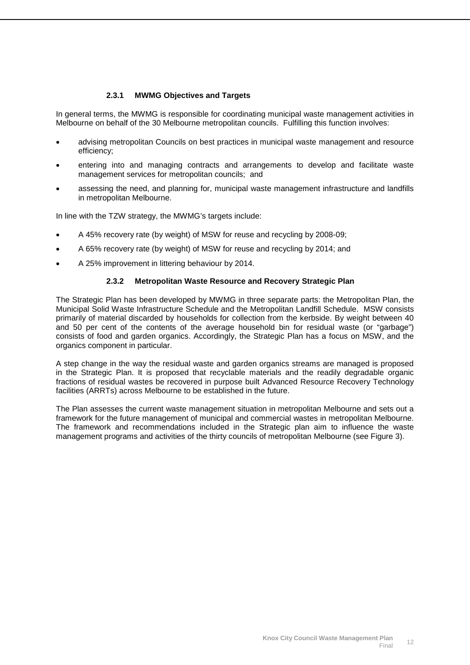#### **2.3.1 MWMG Objectives and Targets**

In general terms, the MWMG is responsible for coordinating municipal waste management activities in Melbourne on behalf of the 30 Melbourne metropolitan councils. Fulfilling this function involves:

- advising metropolitan Councils on best practices in municipal waste management and resource efficiency;
- entering into and managing contracts and arrangements to develop and facilitate waste management services for metropolitan councils; and
- assessing the need, and planning for, municipal waste management infrastructure and landfills in metropolitan Melbourne.

In line with the TZW strategy, the MWMG's targets include:

- A 45% recovery rate (by weight) of MSW for reuse and recycling by 2008-09;
- A 65% recovery rate (by weight) of MSW for reuse and recycling by 2014; and
- A 25% improvement in littering behaviour by 2014.

#### **2.3.2 Metropolitan Waste Resource and Recovery Strategic Plan**

The Strategic Plan has been developed by MWMG in three separate parts: the Metropolitan Plan, the Municipal Solid Waste Infrastructure Schedule and the Metropolitan Landfill Schedule. MSW consists primarily of material discarded by households for collection from the kerbside. By weight between 40 and 50 per cent of the contents of the average household bin for residual waste (or "garbage") consists of food and garden organics. Accordingly, the Strategic Plan has a focus on MSW, and the organics component in particular.

A step change in the way the residual waste and garden organics streams are managed is proposed in the Strategic Plan. It is proposed that recyclable materials and the readily degradable organic fractions of residual wastes be recovered in purpose built Advanced Resource Recovery Technology facilities (ARRTs) across Melbourne to be established in the future.

The Plan assesses the current waste management situation in metropolitan Melbourne and sets out a framework for the future management of municipal and commercial wastes in metropolitan Melbourne. The framework and recommendations included in the Strategic plan aim to influence the waste management programs and activities of the thirty councils of metropolitan Melbourne (see Figure 3).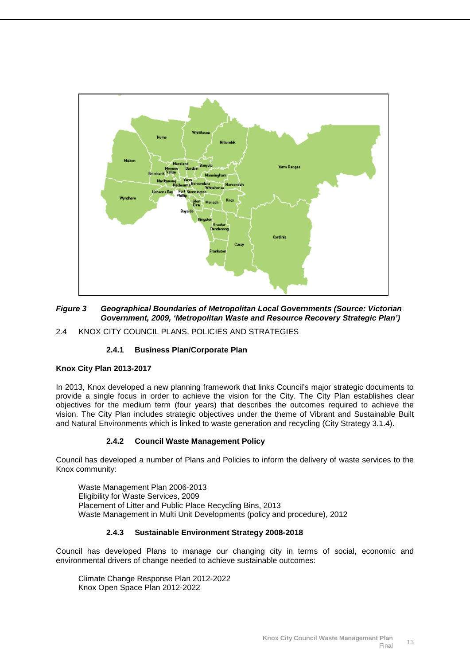

#### <span id="page-14-1"></span>*Figure 3 Geographical Boundaries of Metropolitan Local Governments (Source: Victorian Government, 2009, 'Metropolitan Waste and Resource Recovery Strategic Plan')*

<span id="page-14-0"></span>2.4 KNOX CITY COUNCIL PLANS, POLICIES AND STRATEGIES

#### **2.4.1 Business Plan/Corporate Plan**

#### **Knox City Plan 2013-2017**

In 2013, Knox developed a new planning framework that links Council's major strategic documents to provide a single focus in order to achieve the vision for the City. The City Plan establishes clear objectives for the medium term (four years) that describes the outcomes required to achieve the vision. The City Plan includes strategic objectives under the theme of Vibrant and Sustainable Built and Natural Environments which is linked to waste generation and recycling (City Strategy 3.1.4).

#### **2.4.2 Council Waste Management Policy**

Council has developed a number of Plans and Policies to inform the delivery of waste services to the Knox community:

Waste Management Plan 2006-2013 Eligibility for Waste Services, 2009 Placement of Litter and Public Place Recycling Bins, 2013 Waste Management in Multi Unit Developments (policy and procedure), 2012

#### **2.4.3 Sustainable Environment Strategy 2008-2018**

Council has developed Plans to manage our changing city in terms of social, economic and environmental drivers of change needed to achieve sustainable outcomes:

Climate Change Response Plan 2012-2022 Knox Open Space Plan 2012-2022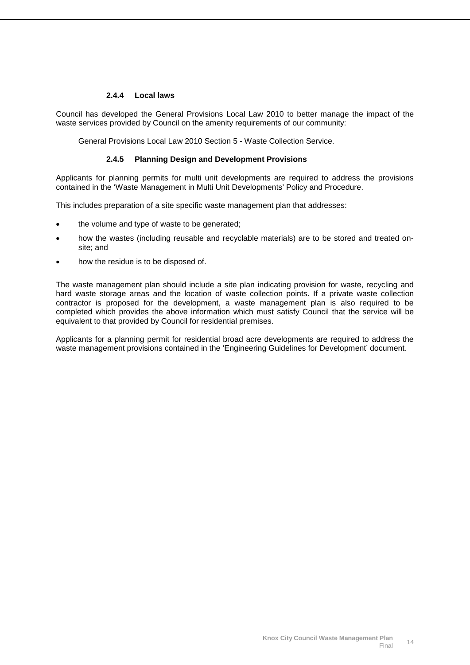#### **2.4.4 Local laws**

Council has developed the General Provisions Local Law 2010 to better manage the impact of the waste services provided by Council on the amenity requirements of our community:

General Provisions Local Law 2010 Section 5 - Waste Collection Service.

#### **2.4.5 Planning Design and Development Provisions**

Applicants for planning permits for multi unit developments are required to address the provisions contained in the 'Waste Management in Multi Unit Developments' Policy and Procedure.

This includes preparation of a site specific waste management plan that addresses:

- the volume and type of waste to be generated;
- how the wastes (including reusable and recyclable materials) are to be stored and treated onsite; and
- how the residue is to be disposed of.

The waste management plan should include a site plan indicating provision for waste, recycling and hard waste storage areas and the location of waste collection points. If a private waste collection contractor is proposed for the development, a waste management plan is also required to be completed which provides the above information which must satisfy Council that the service will be equivalent to that provided by Council for residential premises.

Applicants for a planning permit for residential broad acre developments are required to address the waste management provisions contained in the 'Engineering Guidelines for Development' document.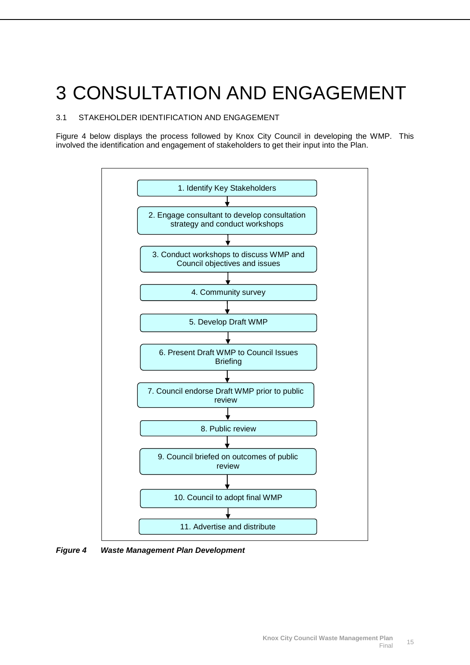# <span id="page-16-0"></span>3 CONSULTATION AND ENGAGEMENT

### <span id="page-16-1"></span>3.1 STAKEHOLDER IDENTIFICATION AND ENGAGEMENT

Figure 4 below displays the process followed by Knox City Council in developing the WMP. This involved the identification and engagement of stakeholders to get their input into the Plan.



<span id="page-16-2"></span>*Figure 4 Waste Management Plan Development*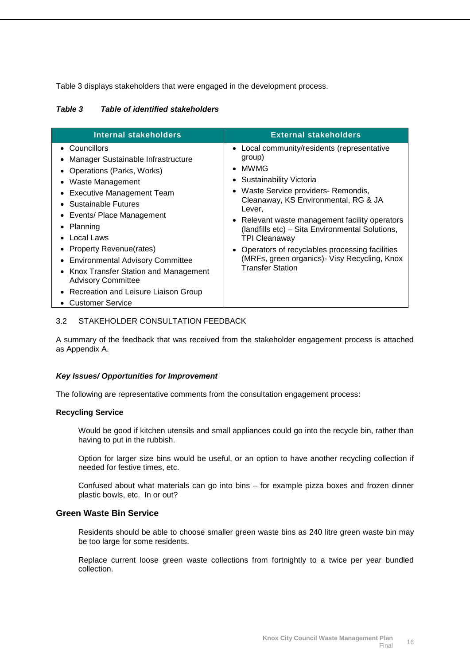Table 3 displays stakeholders that were engaged in the development process.

| Internal stakeholders              | <b>External stakeholders</b>                |
|------------------------------------|---------------------------------------------|
| • Councillors                      | • Local community/residents (representative |
| Manager Sustainable Infrastructure | group)                                      |

#### *Table 3 Table of identified stakeholders*

| • Operations (Parks, Works) |
|-----------------------------|
| $M = -1 - M = -2 - 2 - 1$   |

- Waste Management
- Executive Management Team
- Sustainable Futures
- Events/ Place Management
- Planning
- Local Laws
- Property Revenue(rates)
- Environmental Advisory Committee
- Knox Transfer Station and Management Advisory Committee
- Recreation and Leisure Liaison Group
- Customer Service

#### <span id="page-17-0"></span>3.2 STAKEHOLDER CONSULTATION FEEDBACK

A summary of the feedback that was received from the stakeholder engagement process is attached as Appendix A.

• MWMG

Lever,

• Sustainability Victoria

TPI Cleanaway

Transfer Station

• Waste Service providers- Remondis, Cleanaway, KS Environmental, RG & JA

• Relevant waste management facility operators (landfills etc) – Sita Environmental Solutions,

• Operators of recyclables processing facilities (MRFs, green organics)- Visy Recycling, Knox

#### *Key Issues/ Opportunities for Improvement*

The following are representative comments from the consultation engagement process:

#### **Recycling Service**

Would be good if kitchen utensils and small appliances could go into the recycle bin, rather than having to put in the rubbish.

Option for larger size bins would be useful, or an option to have another recycling collection if needed for festive times, etc.

Confused about what materials can go into bins – for example pizza boxes and frozen dinner plastic bowls, etc. In or out?

#### **Green Waste Bin Service**

Residents should be able to choose smaller green waste bins as 240 litre green waste bin may be too large for some residents.

Replace current loose green waste collections from fortnightly to a twice per year bundled collection.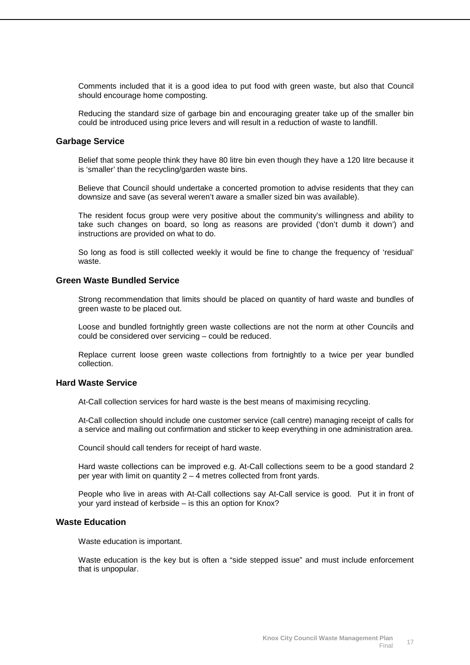Comments included that it is a good idea to put food with green waste, but also that Council should encourage home composting.

Reducing the standard size of garbage bin and encouraging greater take up of the smaller bin could be introduced using price levers and will result in a reduction of waste to landfill.

#### **Garbage Service**

Belief that some people think they have 80 litre bin even though they have a 120 litre because it is 'smaller' than the recycling/garden waste bins.

Believe that Council should undertake a concerted promotion to advise residents that they can downsize and save (as several weren't aware a smaller sized bin was available).

The resident focus group were very positive about the community's willingness and ability to take such changes on board, so long as reasons are provided ('don't dumb it down') and instructions are provided on what to do.

So long as food is still collected weekly it would be fine to change the frequency of 'residual' waste.

#### **Green Waste Bundled Service**

Strong recommendation that limits should be placed on quantity of hard waste and bundles of green waste to be placed out.

Loose and bundled fortnightly green waste collections are not the norm at other Councils and could be considered over servicing – could be reduced.

Replace current loose green waste collections from fortnightly to a twice per year bundled collection.

#### **Hard Waste Service**

At-Call collection services for hard waste is the best means of maximising recycling.

At-Call collection should include one customer service (call centre) managing receipt of calls for a service and mailing out confirmation and sticker to keep everything in one administration area.

Council should call tenders for receipt of hard waste.

Hard waste collections can be improved e.g. At-Call collections seem to be a good standard 2 per year with limit on quantity  $2 - 4$  metres collected from front yards.

People who live in areas with At-Call collections say At-Call service is good. Put it in front of your yard instead of kerbside – is this an option for Knox?

#### **Waste Education**

Waste education is important.

Waste education is the key but is often a "side stepped issue" and must include enforcement that is unpopular.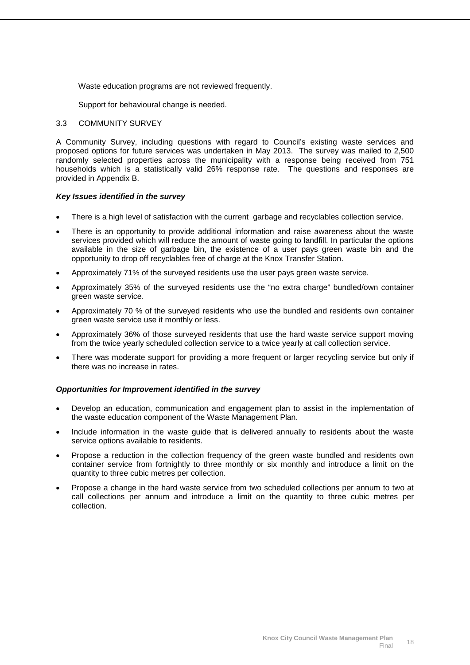Waste education programs are not reviewed frequently.

Support for behavioural change is needed.

#### <span id="page-19-0"></span>3.3 COMMUNITY SURVEY

A Community Survey, including questions with regard to Council's existing waste services and proposed options for future services was undertaken in May 2013. The survey was mailed to 2,500 randomly selected properties across the municipality with a response being received from 751 households which is a statistically valid 26% response rate. The questions and responses are provided in Appendix B.

#### *Key Issues identified in the survey*

- There is a high level of satisfaction with the current garbage and recyclables collection service.
- There is an opportunity to provide additional information and raise awareness about the waste services provided which will reduce the amount of waste going to landfill. In particular the options available in the size of garbage bin, the existence of a user pays green waste bin and the opportunity to drop off recyclables free of charge at the Knox Transfer Station.
- Approximately 71% of the surveyed residents use the user pays green waste service.
- Approximately 35% of the surveyed residents use the "no extra charge" bundled/own container green waste service.
- Approximately 70 % of the surveyed residents who use the bundled and residents own container green waste service use it monthly or less.
- Approximately 36% of those surveyed residents that use the hard waste service support moving from the twice yearly scheduled collection service to a twice yearly at call collection service.
- There was moderate support for providing a more frequent or larger recycling service but only if there was no increase in rates.

#### *Opportunities for Improvement identified in the survey*

- Develop an education, communication and engagement plan to assist in the implementation of the waste education component of the Waste Management Plan.
- Include information in the waste guide that is delivered annually to residents about the waste service options available to residents.
- Propose a reduction in the collection frequency of the green waste bundled and residents own container service from fortnightly to three monthly or six monthly and introduce a limit on the quantity to three cubic metres per collection.
- Propose a change in the hard waste service from two scheduled collections per annum to two at call collections per annum and introduce a limit on the quantity to three cubic metres per collection.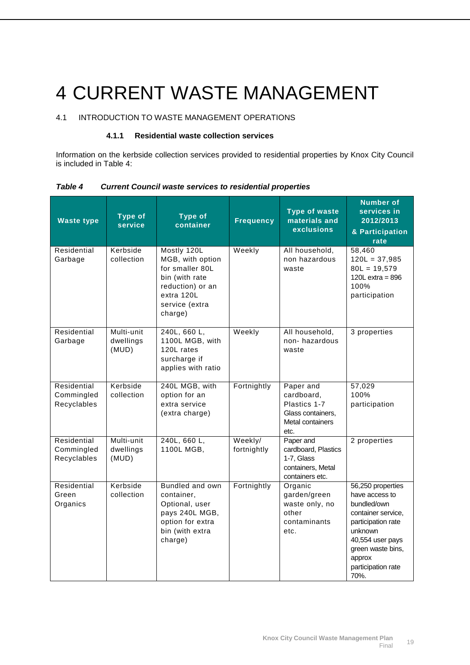# <span id="page-20-0"></span>4 CURRENT WASTE MANAGEMENT

# <span id="page-20-1"></span>4.1 INTRODUCTION TO WASTE MANAGEMENT OPERATIONS

#### **4.1.1 Residential waste collection services**

Information on the kerbside collection services provided to residential properties by Knox City Council is included in Table 4:

| <b>Waste type</b>                        | <b>Type of</b><br>service        | <b>Type of</b><br>container                                                                                                         | <b>Frequency</b>       | <b>Type of waste</b><br>materials and<br>exclusions                                      | <b>Number of</b><br>services in<br>2012/2013<br>& Participation<br>rate                                                                                                                    |
|------------------------------------------|----------------------------------|-------------------------------------------------------------------------------------------------------------------------------------|------------------------|------------------------------------------------------------------------------------------|--------------------------------------------------------------------------------------------------------------------------------------------------------------------------------------------|
| Residential<br>Garbage                   | Kerbside<br>collection           | Mostly 120L<br>MGB, with option<br>for smaller 80L<br>bin (with rate<br>reduction) or an<br>extra 120L<br>service (extra<br>charge) | Weekly                 | All household,<br>non hazardous<br>waste                                                 | 58,460<br>$120L = 37,985$<br>$80L = 19,579$<br>120L extra = $896$<br>100%<br>participation                                                                                                 |
| Residential<br>Garbage                   | Multi-unit<br>dwellings<br>(MUD) | 240L, 660 L,<br>1100L MGB, with<br>120L rates<br>surcharge if<br>applies with ratio                                                 | Weekly                 | All household,<br>non-hazardous<br>waste                                                 | 3 properties                                                                                                                                                                               |
| Residential<br>Commingled<br>Recyclables | Kerbside<br>collection           | 240L MGB, with<br>option for an<br>extra service<br>(extra charge)                                                                  | Fortnightly            | Paper and<br>cardboard,<br>Plastics 1-7<br>Glass containers,<br>Metal containers<br>etc. | 57,029<br>100%<br>participation                                                                                                                                                            |
| Residential<br>Commingled<br>Recyclables | Multi-unit<br>dwellings<br>(MUD) | 240L, 660 L,<br>1100L MGB,                                                                                                          | Weekly/<br>fortnightly | Paper and<br>cardboard, Plastics<br>1-7, Glass<br>containers, Metal<br>containers etc.   | 2 properties                                                                                                                                                                               |
| Residential<br>Green<br>Organics         | Kerbside<br>collection           | Bundled and own<br>container,<br>Optional, user<br>pays 240L MGB,<br>option for extra<br>bin (with extra<br>charge)                 | Fortnightly            | Organic<br>garden/green<br>waste only, no<br>other<br>contaminants<br>etc.               | 56,250 properties<br>have access to<br>bundled/own<br>container service,<br>participation rate<br>unknown<br>40,554 user pays<br>green waste bins,<br>approx<br>participation rate<br>70%. |

*Table 4 Current Council waste services to residential properties*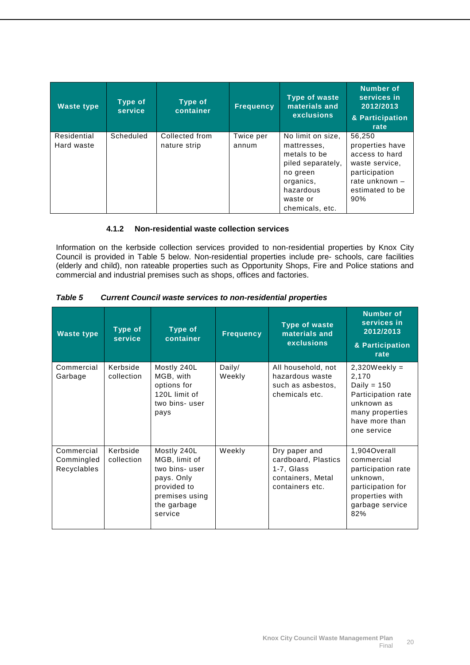| <b>Waste type</b>         | Type of<br>service | Type of<br>container           | <b>Frequency</b>   | <b>Type of waste</b><br>materials and<br><b>exclusions</b>                                                                                 | Number of<br>services in<br>2012/2013<br>& Participation<br>rate                                                           |
|---------------------------|--------------------|--------------------------------|--------------------|--------------------------------------------------------------------------------------------------------------------------------------------|----------------------------------------------------------------------------------------------------------------------------|
| Residential<br>Hard waste | Scheduled          | Collected from<br>nature strip | Twice per<br>annum | No limit on size,<br>mattresses.<br>metals to be<br>piled separately,<br>no green<br>organics,<br>hazardous<br>waste or<br>chemicals, etc. | 56,250<br>properties have<br>access to hard<br>waste service,<br>participation<br>rate unknown -<br>estimated to be<br>90% |

#### **4.1.2 Non-residential waste collection services**

Information on the kerbside collection services provided to non-residential properties by Knox City Council is provided in Table 5 below. Non-residential properties include pre- schools, care facilities (elderly and child), non rateable properties such as Opportunity Shops, Fire and Police stations and commercial and industrial premises such as shops, offices and factories.

| <b>Table 5</b> | <b>Current Council waste services to non-residential properties</b> |
|----------------|---------------------------------------------------------------------|
|                |                                                                     |

| <b>Waste type</b>                       | Type of<br>service     | <b>Type of</b><br>container                                                                                            | <b>Frequency</b> | <b>Type of waste</b><br>materials and<br><b>exclusions</b>                                 | Number of<br>services in<br>2012/2013<br>& Participation<br>rate                                                                   |
|-----------------------------------------|------------------------|------------------------------------------------------------------------------------------------------------------------|------------------|--------------------------------------------------------------------------------------------|------------------------------------------------------------------------------------------------------------------------------------|
| Commercial<br>Garbage                   | Kerbside<br>collection | Mostly 240L<br>MGB, with<br>options for<br>120L limit of<br>two bins-user<br>pays                                      | Daily/<br>Weekly | All household, not<br>hazardous waste<br>such as asbestos,<br>chemicals etc.               | $2,320$ Weekly =<br>2,170<br>Daily = $150$<br>Participation rate<br>unknown as<br>many properties<br>have more than<br>one service |
| Commercial<br>Commingled<br>Recyclables | Kerbside<br>collection | Mostly 240L<br>MGB, limit of<br>two bins-user<br>pays. Only<br>provided to<br>premises using<br>the garbage<br>service | Weekly           | Dry paper and<br>cardboard, Plastics<br>1-7, Glass<br>containers, Metal<br>containers etc. | 1,904Overall<br>commercial<br>participation rate<br>unknown,<br>participation for<br>properties with<br>garbage service<br>82%     |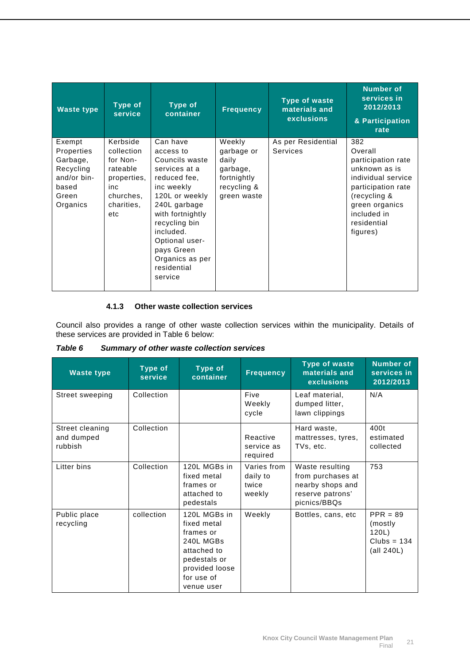| <b>Waste type</b>                                                                          | Type of<br>service                                                                                     | <b>Type of</b><br>container                                                                                                                                                                                                                             | <b>Frequency</b>                                                                       | <b>Type of waste</b><br>materials and<br><b>exclusions</b> | <b>Number of</b><br>services in<br>2012/2013<br>& Participation<br>rate                                                                                                       |
|--------------------------------------------------------------------------------------------|--------------------------------------------------------------------------------------------------------|---------------------------------------------------------------------------------------------------------------------------------------------------------------------------------------------------------------------------------------------------------|----------------------------------------------------------------------------------------|------------------------------------------------------------|-------------------------------------------------------------------------------------------------------------------------------------------------------------------------------|
| Exempt<br>Properties<br>Garbage,<br>Recycling<br>and/or bin-<br>based<br>Green<br>Organics | Kerbside<br>collection<br>for Non-<br>rateable<br>properties,<br>inc<br>churches,<br>charities,<br>etc | Can have<br>access to<br>Councils waste<br>services at a<br>reduced fee,<br>inc weekly<br>120L or weekly<br>240L garbage<br>with fortnightly<br>recycling bin<br>included.<br>Optional user-<br>pays Green<br>Organics as per<br>residential<br>service | Weekly<br>garbage or<br>daily<br>garbage,<br>fortnightly<br>recycling &<br>green waste | As per Residential<br>Services                             | 382<br>Overall<br>participation rate<br>unknown as is<br>individual service<br>participation rate<br>(recycling &<br>green organics<br>included in<br>residential<br>figures) |

#### **4.1.3 Other waste collection services**

Council also provides a range of other waste collection services within the municipality. Details of these services are provided in Table 6 below:

| <b>Table 6</b> | Summary of other waste collection services |
|----------------|--------------------------------------------|
|----------------|--------------------------------------------|

| <b>Waste type</b>                        | Type of<br>service | Type of<br>container                                                                                                               | <b>Frequency</b>                           | <b>Type of waste</b><br>materials and<br><b>exclusions</b>                                   | <b>Number of</b><br>services in<br>2012/2013                   |
|------------------------------------------|--------------------|------------------------------------------------------------------------------------------------------------------------------------|--------------------------------------------|----------------------------------------------------------------------------------------------|----------------------------------------------------------------|
| Street sweeping                          | Collection         |                                                                                                                                    | Five<br>Weekly<br>cycle                    | Leaf material,<br>dumped litter,<br>lawn clippings                                           | N/A                                                            |
| Street cleaning<br>and dumped<br>rubbish | Collection         |                                                                                                                                    | Reactive<br>service as<br>required         | Hard waste,<br>mattresses, tyres,<br>TVs, etc.                                               | 400t<br>estimated<br>collected                                 |
| Litter bins                              | Collection         | 120L MGBs in<br>fixed metal<br>frames or<br>attached to<br>pedestals                                                               | Varies from<br>daily to<br>twice<br>weekly | Waste resulting<br>from purchases at<br>nearby shops and<br>reserve patrons'<br>picnics/BBQs | 753                                                            |
| Public place<br>recycling                | collection         | 120L MGBs in<br>fixed metal<br>frames or<br>240L MGBs<br>attached to<br>pedestals or<br>provided loose<br>for use of<br>venue user | Weekly                                     | Bottles, cans, etc.                                                                          | $PPR = 89$<br>(mostly)<br>120L)<br>$Clubs = 134$<br>(all 240L) |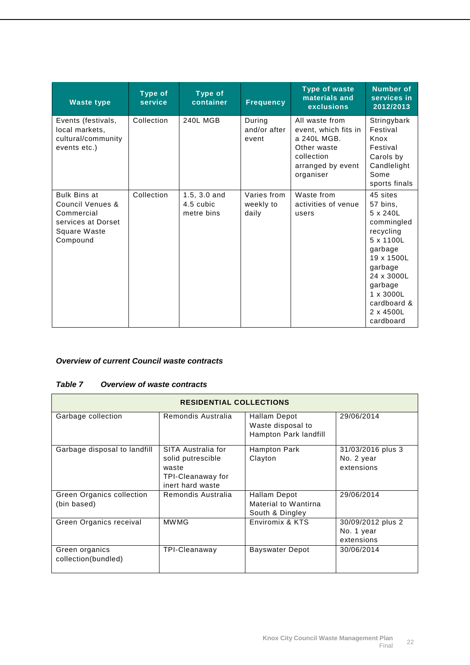| <b>Waste type</b>                                                                                                         | <b>Type of</b><br>service | <b>Type of</b><br>container               | <b>Frequency</b>                  | <b>Type of waste</b><br>materials and<br><b>exclusions</b>                                                           | Number of<br>services in<br>2012/2013                                                                                                                                                              |
|---------------------------------------------------------------------------------------------------------------------------|---------------------------|-------------------------------------------|-----------------------------------|----------------------------------------------------------------------------------------------------------------------|----------------------------------------------------------------------------------------------------------------------------------------------------------------------------------------------------|
| Events (festivals,<br>local markets,<br>cultural/community<br>events etc.)                                                | Collection                | <b>240L MGB</b>                           | During<br>and/or after<br>event   | All waste from<br>event, which fits in<br>a 240L MGB.<br>Other waste<br>collection<br>arranged by event<br>organiser | Stringybark<br>Festival<br>Knox<br>Festival<br>Carols by<br>Candlelight<br>Some<br>sports finals                                                                                                   |
| <b>Bulk Bins at</b><br><b>Council Venues &amp;</b><br>Commercial<br>services at Dorset<br><b>Square Waste</b><br>Compound | Collection                | $1.5, 3.0$ and<br>4.5 cubic<br>metre bins | Varies from<br>weekly to<br>daily | Waste from<br>activities of venue<br>users                                                                           | 45 sites<br>57 bins,<br>5 x 240L<br>commingled<br>recycling<br>5 x 1100L<br>garbage<br>19 x 1500L<br>garbage<br>24 x 3000L<br>garbage<br>$1 \times 3000L$<br>cardboard &<br>2 x 4500L<br>cardboard |

## *Overview of current Council waste contracts*

#### *Table 7 Overview of waste contracts*

| <b>RESIDENTIAL COLLECTIONS</b>                  |                                                                                           |                                                            |                                               |
|-------------------------------------------------|-------------------------------------------------------------------------------------------|------------------------------------------------------------|-----------------------------------------------|
| Garbage collection                              | Remondis Australia                                                                        | Hallam Depot<br>Waste disposal to<br>Hampton Park landfill | 29/06/2014                                    |
| Garbage disposal to landfill                    | SITA Australia for<br>solid putrescible<br>waste<br>TPI-Cleanaway for<br>inert hard waste | Hampton Park<br>Clayton                                    | 31/03/2016 plus 3<br>No. 2 year<br>extensions |
| <b>Green Organics collection</b><br>(bin based) | Remondis Australia                                                                        | Hallam Depot<br>Material to Wantirna<br>South & Dingley    | 29/06/2014                                    |
| Green Organics receival                         | <b>MWMG</b>                                                                               | Enviromix & KTS                                            | 30/09/2012 plus 2<br>No. 1 year<br>extensions |
| Green organics<br>collection(bundled)           | TPI-Cleanaway                                                                             | Bayswater Depot                                            | 30/06/2014                                    |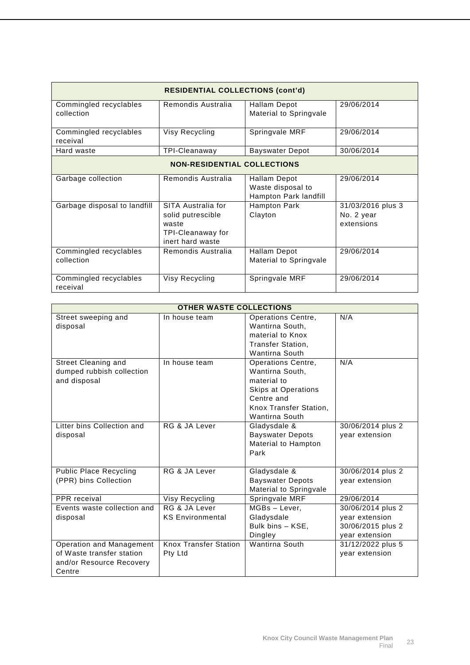| <b>RESIDENTIAL COLLECTIONS (cont'd)</b> |                                                                                           |                                                            |                                               |  |
|-----------------------------------------|-------------------------------------------------------------------------------------------|------------------------------------------------------------|-----------------------------------------------|--|
| Commingled recyclables<br>collection    | Remondis Australia                                                                        | <b>Hallam Depot</b><br>Material to Springvale              | 29/06/2014                                    |  |
| Commingled recyclables<br>receival      | Visy Recycling                                                                            | Springvale MRF                                             | 29/06/2014                                    |  |
| Hard waste                              | TPI-Cleanaway                                                                             | <b>Bayswater Depot</b>                                     | 30/06/2014                                    |  |
| <b>NON-RESIDENTIAL COLLECTIONS</b>      |                                                                                           |                                                            |                                               |  |
| Garbage collection                      | Remondis Australia                                                                        | Hallam Depot<br>Waste disposal to<br>Hampton Park landfill | 29/06/2014                                    |  |
| Garbage disposal to landfill            | SITA Australia for<br>solid putrescible<br>waste<br>TPI-Cleanaway for<br>inert hard waste | <b>Hampton Park</b><br>Clayton                             | 31/03/2016 plus 3<br>No. 2 year<br>extensions |  |
| Commingled recyclables<br>collection    | Remondis Australia                                                                        | Hallam Depot<br>Material to Springvale                     | 29/06/2014                                    |  |
| Commingled recyclables<br>receival      | Visy Recycling                                                                            | Springvale MRF                                             | 29/06/2014                                    |  |

| <b>OTHER WASTE COLLECTIONS</b> |                              |                            |                   |  |
|--------------------------------|------------------------------|----------------------------|-------------------|--|
| Street sweeping and            | In house team                | <b>Operations Centre,</b>  | N/A               |  |
| disposal                       |                              | Wantirna South,            |                   |  |
|                                |                              | material to Knox           |                   |  |
|                                |                              | <b>Transfer Station.</b>   |                   |  |
|                                |                              | <b>Wantirna South</b>      |                   |  |
| <b>Street Cleaning and</b>     | In house team                | Operations Centre,         | N/A               |  |
| dumped rubbish collection      |                              | Wantirna South.            |                   |  |
| and disposal                   |                              | material to                |                   |  |
|                                |                              | <b>Skips at Operations</b> |                   |  |
|                                |                              | Centre and                 |                   |  |
|                                |                              | Knox Transfer Station,     |                   |  |
|                                |                              | Wantirna South             |                   |  |
| Litter bins Collection and     | RG & JA Lever                | Gladysdale &               | 30/06/2014 plus 2 |  |
| disposal                       |                              | <b>Bayswater Depots</b>    | year extension    |  |
|                                |                              | Material to Hampton        |                   |  |
|                                |                              | Park                       |                   |  |
| <b>Public Place Recycling</b>  | RG & JA Lever                | Gladysdale &               | 30/06/2014 plus 2 |  |
| (PPR) bins Collection          |                              | <b>Bayswater Depots</b>    | year extension    |  |
|                                |                              | Material to Springvale     |                   |  |
| PPR receival                   | <b>Visy Recycling</b>        | Springvale MRF             | 29/06/2014        |  |
| Events waste collection and    | RG & JA Lever                | MGBs - Lever,              | 30/06/2014 plus 2 |  |
| disposal                       | <b>KS Environmental</b>      | Gladysdale                 | year extension    |  |
|                                |                              | Bulk bins - KSE,           | 30/06/2015 plus 2 |  |
|                                |                              | Dingley                    | year extension    |  |
| Operation and Management       | <b>Knox Transfer Station</b> | <b>Wantirna South</b>      | 31/12/2022 plus 5 |  |
| of Waste transfer station      | Pty Ltd                      |                            | year extension    |  |
| and/or Resource Recovery       |                              |                            |                   |  |
| Centre                         |                              |                            |                   |  |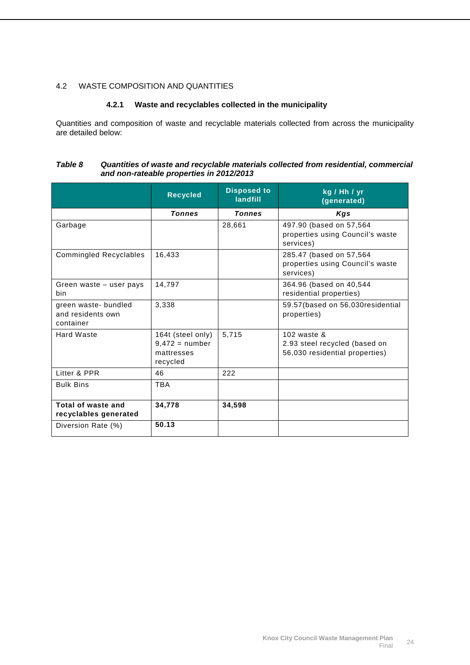### <span id="page-25-0"></span>4.2 WASTE COMPOSITION AND QUANTITIES

#### **4.2.1 Waste and recyclables collected in the municipality**

Quantities and composition of waste and recyclable materials collected from across the municipality are detailed below:

#### *Table 8 Quantities of waste and recyclable materials collected from residential, commercial and non-rateable properties in 2012/2013*

|                                                        | <b>Recycled</b>                                                 | <b>Disposed to</b><br>landfill | kg / Hh / yr<br>(generated)                                                       |
|--------------------------------------------------------|-----------------------------------------------------------------|--------------------------------|-----------------------------------------------------------------------------------|
|                                                        | <b>Tonnes</b>                                                   | <b>Tonnes</b>                  | Kgs                                                                               |
| Garbage                                                |                                                                 | 28,661                         | 497.90 (based on 57,564<br>properties using Council's waste<br>services)          |
| <b>Commingled Recyclables</b>                          | 16,433                                                          |                                | 285.47 (based on 57,564)<br>properties using Council's waste<br>services)         |
| Green waste – user pays<br>bin                         | 14,797                                                          |                                | 364.96 (based on 40,544<br>residential properties)                                |
| green waste- bundled<br>and residents own<br>container | 3,338                                                           |                                | 59.57 (based on 56,030 residential<br>properties)                                 |
| Hard Waste                                             | 164t (steel only)<br>$9,472 =$ number<br>mattresses<br>recycled | 5,715                          | 102 waste $\&$<br>2.93 steel recycled (based on<br>56,030 residential properties) |
| Litter & PPR                                           | 46                                                              | 222                            |                                                                                   |
| <b>Bulk Bins</b>                                       | <b>TBA</b>                                                      |                                |                                                                                   |
| Total of waste and<br>recyclables generated            | 34,778                                                          | 34,598                         |                                                                                   |
| Diversion Rate (%)                                     | 50.13                                                           |                                |                                                                                   |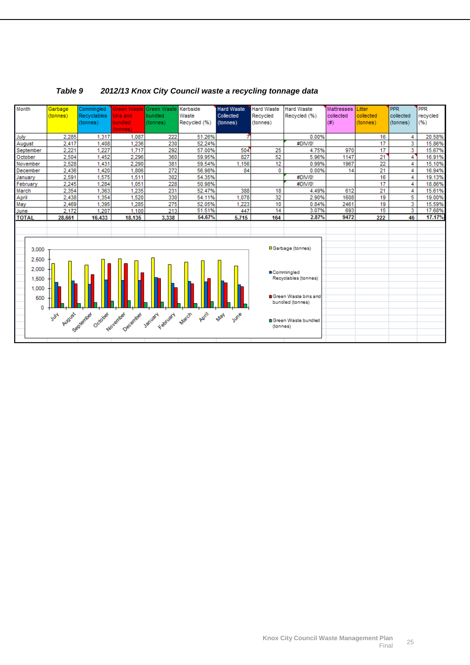

### *Table 9 2012/13 Knox City Council waste a recycling tonnage data*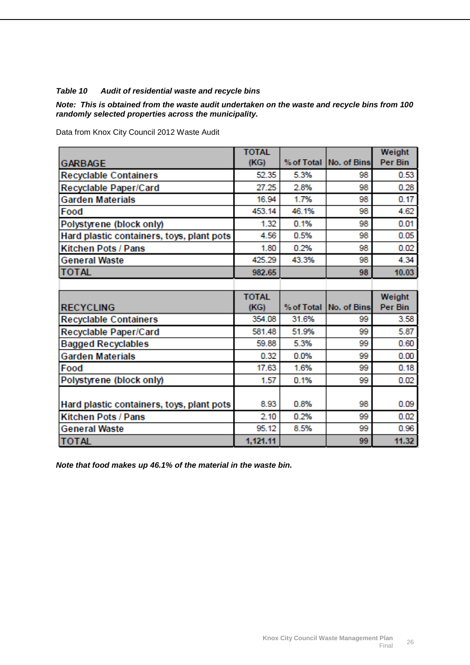### *Table 10 Audit of residential waste and recycle bins*

*Note: This is obtained from the waste audit undertaken on the waste and recycle bins from 100 randomly selected properties across the municipality.*

**TOTAL** Weight  $(KG)$ % of Total **GARBAGE** No. of Bins Per Bin 5.3% 98 0.53 **Recyclable Containers** 52.35 27.25 2.8% **QR**  $0.28$ **Recyclable Paper/Card** 1.7% 98 **Garden Materials** 16.94  $0.17$ 98 Food 453.14 46.1% 4.62 98 0.1%  $0.01$ Polystyrene (block only) 1.32 4.56 0.5% 98  $0.05$ Hard plastic containers, toys, plant pots 98  $0.02$ 1.80 0.2% **Kitchen Pots / Pans** 425.29 43.3% 98 4.34 **General Waste TOTAL** 10.03 982.65 98 **TOTAL Weight** Per Bin **RECYCLING**  $(KG)$ % of Total | No. of Bins **Recyclable Containers** 354.08 31.6% 99 3.58 **Recyclable Paper/Card** 581.48 51.9% 99 5.87 99 **Bagged Recyclables** 59.88 5.3%  $0.60$ 0.32 0.0% 99  $0.00$ **Garden Materials** Food 17.63 1.6% 99  $0.18$ Polystyrene (block only) 1.57 0.1% 99  $0.02$ 8.93 0.8% 98 0.09 Hard plastic containers, toys, plant pots 0.2% 99  $2.10$  $0.02$ **Kitchen Pots / Pans General Waste** 95.12 8.5% 99 0.96 11.32 **TOTAL** 1.121.11 99

Data from Knox City Council 2012 Waste Audit

*Note that food makes up 46.1% of the material in the waste bin.*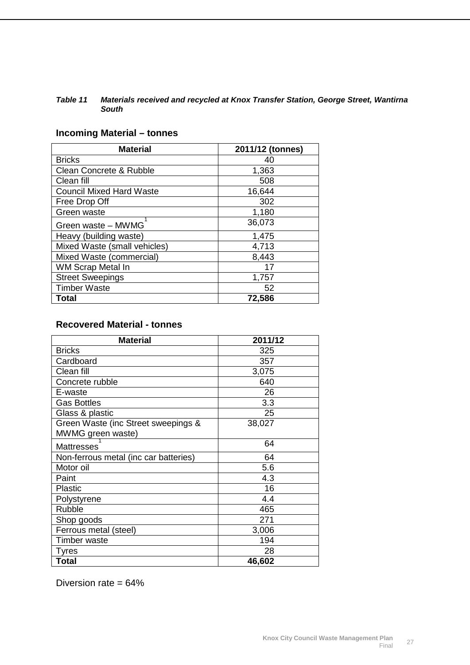#### *Table 11 Materials received and recycled at Knox Transfer Station, George Street, Wantirna South*

# **Incoming Material – tonnes**

| <b>Material</b>                 | 2011/12 (tonnes) |
|---------------------------------|------------------|
| <b>Bricks</b>                   | 40               |
| Clean Concrete & Rubble         | 1,363            |
| Clean fill                      | 508              |
| <b>Council Mixed Hard Waste</b> | 16,644           |
| Free Drop Off                   | 302              |
| Green waste                     | 1,180            |
| Green waste - MWMG              | 36,073           |
| Heavy (building waste)          | 1,475            |
| Mixed Waste (small vehicles)    | 4,713            |
| Mixed Waste (commercial)        | 8,443            |
| WM Scrap Metal In               | 17               |
| <b>Street Sweepings</b>         | 1,757            |
| <b>Timber Waste</b>             | 52               |
| Total                           | 72,586           |

# **Recovered Material - tonnes**

| <b>Material</b>                       | 2011/12 |
|---------------------------------------|---------|
| <b>Bricks</b>                         | 325     |
| Cardboard                             | 357     |
| Clean fill                            | 3,075   |
| Concrete rubble                       | 640     |
| E-waste                               | 26      |
| <b>Gas Bottles</b>                    | 3.3     |
| Glass & plastic                       | 25      |
| Green Waste (inc Street sweepings &   | 38,027  |
| MWMG green waste)                     |         |
| <b>Mattresses</b>                     | 64      |
| Non-ferrous metal (inc car batteries) | 64      |
| Motor oil                             | 5.6     |
| Paint                                 | 4.3     |
| <b>Plastic</b>                        | 16      |
| Polystyrene                           | 4.4     |
| Rubble                                | 465     |
| Shop goods                            | 271     |
| Ferrous metal (steel)                 | 3,006   |
| <b>Timber waste</b>                   | 194     |
| Tyres                                 | 28      |
| <b>Total</b>                          | 46,602  |

Diversion rate = 64%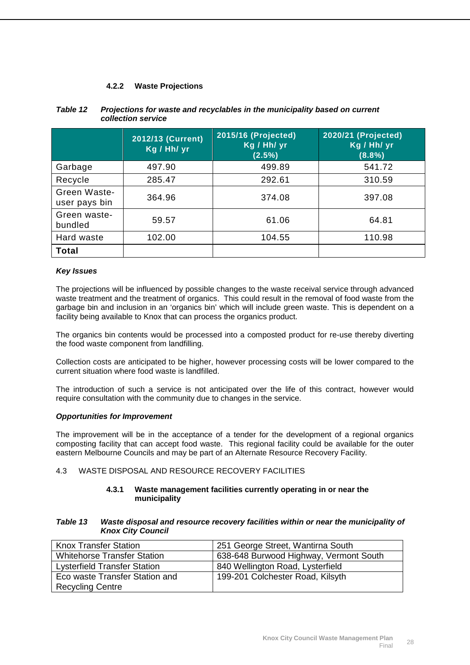### **4.2.2 Waste Projections**

|                               | 2012/13 (Current)<br>Kg / Hh/ yr | 2015/16 (Projected)<br>Kg / Hh/ yr<br>$(2.5\%)$ | 2020/21 (Projected)<br>Kg / Hh/ yr<br>$(8.8\%)$ |
|-------------------------------|----------------------------------|-------------------------------------------------|-------------------------------------------------|
| Garbage                       | 497.90                           | 499.89                                          | 541.72                                          |
| Recycle                       | 285.47                           | 292.61                                          | 310.59                                          |
| Green Waste-<br>user pays bin | 364.96                           | 374.08                                          | 397.08                                          |
| Green waste-<br>bundled       | 59.57                            | 61.06                                           | 64.81                                           |
| Hard waste                    | 102.00                           | 104.55                                          | 110.98                                          |
| <b>Total</b>                  |                                  |                                                 |                                                 |

#### *Table 12 Projections for waste and recyclables in the municipality based on current collection service*

### *Key Issues*

The projections will be influenced by possible changes to the waste receival service through advanced waste treatment and the treatment of organics. This could result in the removal of food waste from the garbage bin and inclusion in an 'organics bin' which will include green waste. This is dependent on a facility being available to Knox that can process the organics product.

The organics bin contents would be processed into a composted product for re-use thereby diverting the food waste component from landfilling.

Collection costs are anticipated to be higher, however processing costs will be lower compared to the current situation where food waste is landfilled.

The introduction of such a service is not anticipated over the life of this contract, however would require consultation with the community due to changes in the service.

#### *Opportunities for Improvement*

The improvement will be in the acceptance of a tender for the development of a regional organics composting facility that can accept food waste. This regional facility could be available for the outer eastern Melbourne Councils and may be part of an Alternate Resource Recovery Facility.

#### <span id="page-29-0"></span>4.3 WASTE DISPOSAL AND RESOURCE RECOVERY FACILITIES

#### **4.3.1 Waste management facilities currently operating in or near the municipality**

#### *Table 13 Waste disposal and resource recovery facilities within or near the municipality of Knox City Council*

| <b>Knox Transfer Station</b>        | 251 George Street, Wantirna South      |
|-------------------------------------|----------------------------------------|
| <b>Whitehorse Transfer Station</b>  | 638-648 Burwood Highway, Vermont South |
| <b>Lysterfield Transfer Station</b> | 840 Wellington Road, Lysterfield       |
| Eco waste Transfer Station and      | 199-201 Colchester Road, Kilsyth       |
| <b>Recycling Centre</b>             |                                        |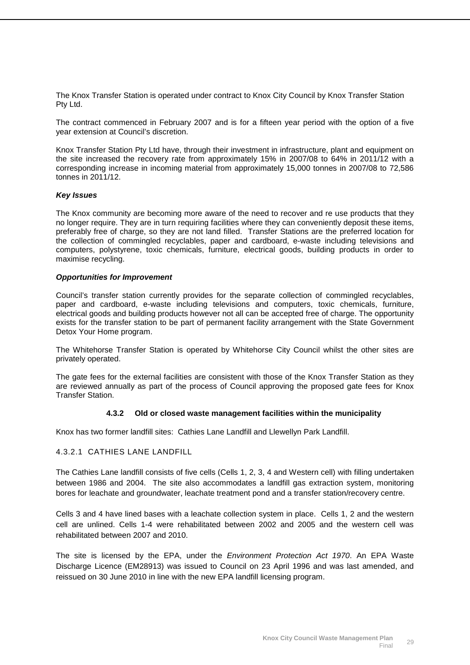The Knox Transfer Station is operated under contract to Knox City Council by Knox Transfer Station Pty Ltd.

The contract commenced in February 2007 and is for a fifteen year period with the option of a five year extension at Council's discretion.

Knox Transfer Station Pty Ltd have, through their investment in infrastructure, plant and equipment on the site increased the recovery rate from approximately 15% in 2007/08 to 64% in 2011/12 with a corresponding increase in incoming material from approximately 15,000 tonnes in 2007/08 to 72,586 tonnes in 2011/12.

#### *Key Issues*

The Knox community are becoming more aware of the need to recover and re use products that they no longer require. They are in turn requiring facilities where they can conveniently deposit these items, preferably free of charge, so they are not land filled. Transfer Stations are the preferred location for the collection of commingled recyclables, paper and cardboard, e-waste including televisions and computers, polystyrene, toxic chemicals, furniture, electrical goods, building products in order to maximise recycling.

#### *Opportunities for Improvement*

Council's transfer station currently provides for the separate collection of commingled recyclables, paper and cardboard, e-waste including televisions and computers, toxic chemicals, furniture, electrical goods and building products however not all can be accepted free of charge. The opportunity exists for the transfer station to be part of permanent facility arrangement with the State Government Detox Your Home program.

The Whitehorse Transfer Station is operated by Whitehorse City Council whilst the other sites are privately operated.

The gate fees for the external facilities are consistent with those of the Knox Transfer Station as they are reviewed annually as part of the process of Council approving the proposed gate fees for Knox Transfer Station.

#### **4.3.2 Old or closed waste management facilities within the municipality**

Knox has two former landfill sites: Cathies Lane Landfill and Llewellyn Park Landfill.

#### 4.3.2.1 CATHIES LANE LANDFILL

The Cathies Lane landfill consists of five cells (Cells 1, 2, 3, 4 and Western cell) with filling undertaken between 1986 and 2004. The site also accommodates a landfill gas extraction system, monitoring bores for leachate and groundwater, leachate treatment pond and a transfer station/recovery centre.

Cells 3 and 4 have lined bases with a leachate collection system in place. Cells 1, 2 and the western cell are unlined. Cells 1-4 were rehabilitated between 2002 and 2005 and the western cell was rehabilitated between 2007 and 2010.

The site is licensed by the EPA, under the *Environment Protection Act 1970*. An EPA Waste Discharge Licence (EM28913) was issued to Council on 23 April 1996 and was last amended, and reissued on 30 June 2010 in line with the new EPA landfill licensing program.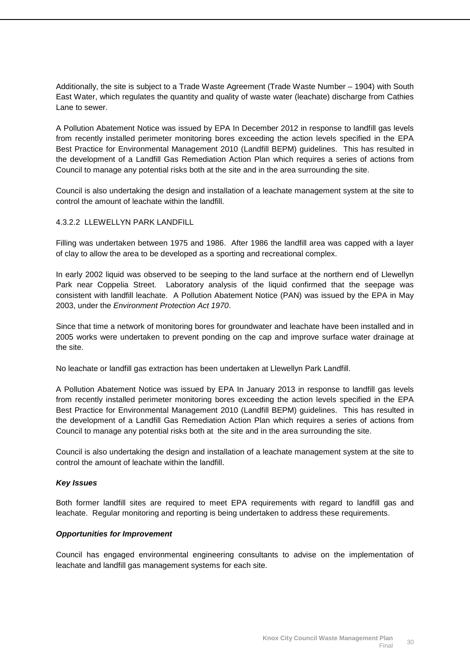Additionally, the site is subject to a Trade Waste Agreement (Trade Waste Number – 1904) with South East Water, which regulates the quantity and quality of waste water (leachate) discharge from Cathies Lane to sewer.

A Pollution Abatement Notice was issued by EPA In December 2012 in response to landfill gas levels from recently installed perimeter monitoring bores exceeding the action levels specified in the EPA Best Practice for Environmental Management 2010 (Landfill BEPM) guidelines. This has resulted in the development of a Landfill Gas Remediation Action Plan which requires a series of actions from Council to manage any potential risks both at the site and in the area surrounding the site.

Council is also undertaking the design and installation of a leachate management system at the site to control the amount of leachate within the landfill.

#### 4.3.2.2 LLEWELLYN PARK LANDFILL

Filling was undertaken between 1975 and 1986. After 1986 the landfill area was capped with a layer of clay to allow the area to be developed as a sporting and recreational complex.

In early 2002 liquid was observed to be seeping to the land surface at the northern end of Llewellyn Park near Coppelia Street. Laboratory analysis of the liquid confirmed that the seepage was consistent with landfill leachate. A Pollution Abatement Notice (PAN) was issued by the EPA in May 2003, under the *Environment Protection Act 1970*.

Since that time a network of monitoring bores for groundwater and leachate have been installed and in 2005 works were undertaken to prevent ponding on the cap and improve surface water drainage at the site.

No leachate or landfill gas extraction has been undertaken at Llewellyn Park Landfill.

A Pollution Abatement Notice was issued by EPA In January 2013 in response to landfill gas levels from recently installed perimeter monitoring bores exceeding the action levels specified in the EPA Best Practice for Environmental Management 2010 (Landfill BEPM) guidelines. This has resulted in the development of a Landfill Gas Remediation Action Plan which requires a series of actions from Council to manage any potential risks both at the site and in the area surrounding the site.

Council is also undertaking the design and installation of a leachate management system at the site to control the amount of leachate within the landfill.

#### *Key Issues*

Both former landfill sites are required to meet EPA requirements with regard to landfill gas and leachate. Regular monitoring and reporting is being undertaken to address these requirements.

#### *Opportunities for Improvement*

Council has engaged environmental engineering consultants to advise on the implementation of leachate and landfill gas management systems for each site.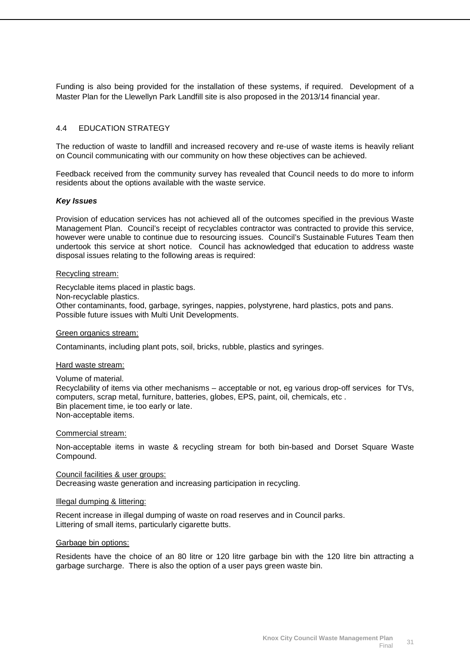Funding is also being provided for the installation of these systems, if required. Development of a Master Plan for the Llewellyn Park Landfill site is also proposed in the 2013/14 financial year.

#### <span id="page-32-0"></span>4.4 EDUCATION STRATEGY

The reduction of waste to landfill and increased recovery and re-use of waste items is heavily reliant on Council communicating with our community on how these objectives can be achieved.

Feedback received from the community survey has revealed that Council needs to do more to inform residents about the options available with the waste service.

#### *Key Issues*

Provision of education services has not achieved all of the outcomes specified in the previous Waste Management Plan. Council's receipt of recyclables contractor was contracted to provide this service, however were unable to continue due to resourcing issues. Council's Sustainable Futures Team then undertook this service at short notice. Council has acknowledged that education to address waste disposal issues relating to the following areas is required:

#### Recycling stream:

Recyclable items placed in plastic bags. Non-recyclable plastics. Other contaminants, food, garbage, syringes, nappies, polystyrene, hard plastics, pots and pans. Possible future issues with Multi Unit Developments.

#### Green organics stream:

Contaminants, including plant pots, soil, bricks, rubble, plastics and syringes.

#### Hard waste stream:

Volume of material. Recyclability of items via other mechanisms – acceptable or not, eg various drop-off services for TVs, computers, scrap metal, furniture, batteries, globes, EPS, paint, oil, chemicals, etc . Bin placement time, ie too early or late. Non-acceptable items.

#### Commercial stream:

Non-acceptable items in waste & recycling stream for both bin-based and Dorset Square Waste Compound.

Decreasing waste generation and increasing participation in recycling. Council facilities & user groups:

#### Illegal dumping & littering:

Recent increase in illegal dumping of waste on road reserves and in Council parks. Littering of small items, particularly cigarette butts.

#### Garbage bin options:

Residents have the choice of an 80 litre or 120 litre garbage bin with the 120 litre bin attracting a garbage surcharge. There is also the option of a user pays green waste bin.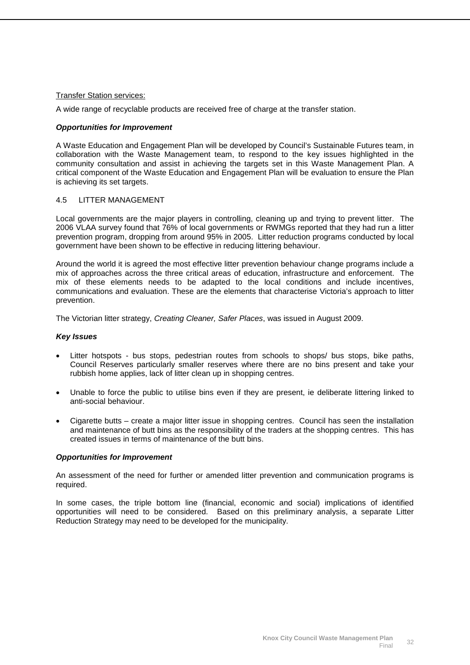#### Transfer Station services:

A wide range of recyclable products are received free of charge at the transfer station.

#### *Opportunities for Improvement*

A Waste Education and Engagement Plan will be developed by Council's Sustainable Futures team, in collaboration with the Waste Management team, to respond to the key issues highlighted in the community consultation and assist in achieving the targets set in this Waste Management Plan. A critical component of the Waste Education and Engagement Plan will be evaluation to ensure the Plan is achieving its set targets.

#### <span id="page-33-0"></span>4.5 LITTER MANAGEMENT

Local governments are the major players in controlling, cleaning up and trying to prevent litter. The 2006 VLAA survey found that 76% of local governments or RWMGs reported that they had run a litter prevention program, dropping from around 95% in 2005. Litter reduction programs conducted by local government have been shown to be effective in reducing littering behaviour.

Around the world it is agreed the most effective litter prevention behaviour change programs include a mix of approaches across the three critical areas of education, infrastructure and enforcement. The mix of these elements needs to be adapted to the local conditions and include incentives, communications and evaluation. These are the elements that characterise Victoria's approach to litter prevention.

The Victorian litter strategy, *Creating Cleaner, Safer Places*, was issued in August 2009.

#### *Key Issues*

- Litter hotspots bus stops, pedestrian routes from schools to shops/ bus stops, bike paths, Council Reserves particularly smaller reserves where there are no bins present and take your rubbish home applies, lack of litter clean up in shopping centres.
- Unable to force the public to utilise bins even if they are present, ie deliberate littering linked to anti-social behaviour.
- Cigarette butts create a major litter issue in shopping centres. Council has seen the installation and maintenance of butt bins as the responsibility of the traders at the shopping centres. This has created issues in terms of maintenance of the butt bins.

#### *Opportunities for Improvement*

An assessment of the need for further or amended litter prevention and communication programs is required.

In some cases, the triple bottom line (financial, economic and social) implications of identified opportunities will need to be considered. Based on this preliminary analysis, a separate Litter Reduction Strategy may need to be developed for the municipality.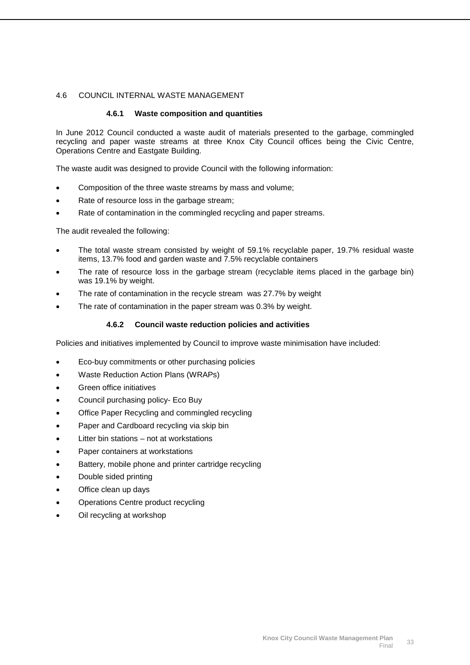#### <span id="page-34-0"></span>4.6 COUNCIL INTERNAL WASTE MANAGEMENT

#### **4.6.1 Waste composition and quantities**

In June 2012 Council conducted a waste audit of materials presented to the garbage, commingled recycling and paper waste streams at three Knox City Council offices being the Civic Centre, Operations Centre and Eastgate Building.

The waste audit was designed to provide Council with the following information:

- Composition of the three waste streams by mass and volume;
- Rate of resource loss in the garbage stream;
- Rate of contamination in the commingled recycling and paper streams.

The audit revealed the following:

- The total waste stream consisted by weight of 59.1% recyclable paper, 19.7% residual waste items, 13.7% food and garden waste and 7.5% recyclable containers
- The rate of resource loss in the garbage stream (recyclable items placed in the garbage bin) was 19.1% by weight.
- The rate of contamination in the recycle stream was 27.7% by weight
- The rate of contamination in the paper stream was 0.3% by weight.

#### **4.6.2 Council waste reduction policies and activities**

Policies and initiatives implemented by Council to improve waste minimisation have included:

- Eco-buy commitments or other purchasing policies
- Waste Reduction Action Plans (WRAPs)
- Green office initiatives
- Council purchasing policy- Eco Buy
- Office Paper Recycling and commingled recycling
- Paper and Cardboard recycling via skip bin
- Litter bin stations not at workstations
- Paper containers at workstations
- Battery, mobile phone and printer cartridge recycling
- Double sided printing
- Office clean up days
- Operations Centre product recycling
- Oil recycling at workshop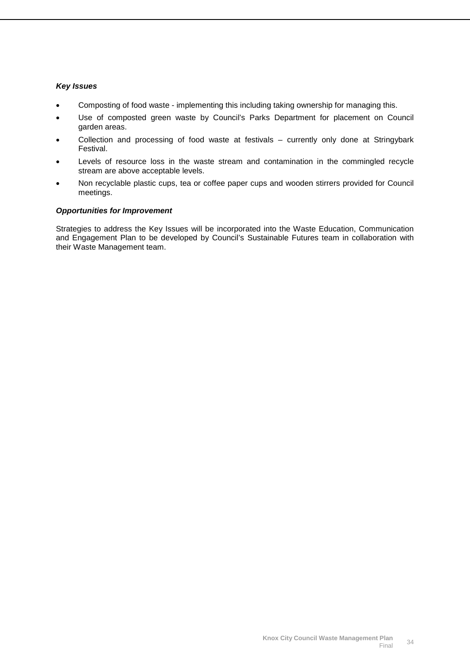#### *Key Issues*

- Composting of food waste implementing this including taking ownership for managing this.
- Use of composted green waste by Council's Parks Department for placement on Council garden areas.
- Collection and processing of food waste at festivals currently only done at Stringybark Festival.
- Levels of resource loss in the waste stream and contamination in the commingled recycle stream are above acceptable levels.
- Non recyclable plastic cups, tea or coffee paper cups and wooden stirrers provided for Council meetings.

#### *Opportunities for Improvement*

Strategies to address the Key Issues will be incorporated into the Waste Education, Communication and Engagement Plan to be developed by Council's Sustainable Futures team in collaboration with their Waste Management team.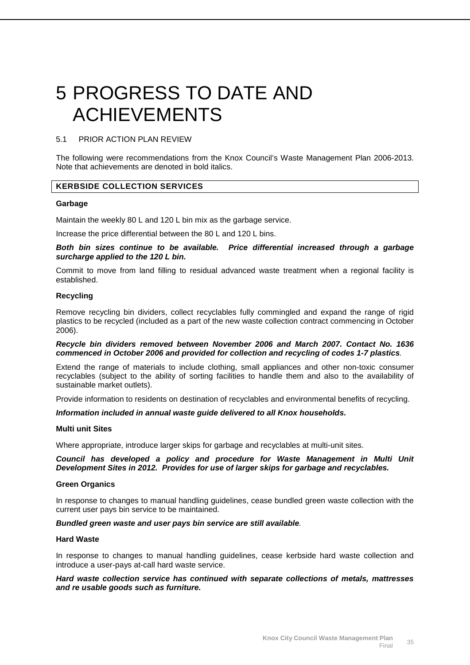# <span id="page-36-0"></span>5 PROGRESS TO DATE AND ACHIEVEMENTS

#### <span id="page-36-1"></span>5.1 PRIOR ACTION PLAN REVIEW

The following were recommendations from the Knox Council's Waste Management Plan 2006-2013. Note that achievements are denoted in bold italics.

### **KERBSIDE COLLECTION SERVICES**

#### **Garbage**

Maintain the weekly 80 L and 120 L bin mix as the garbage service.

Increase the price differential between the 80 L and 120 L bins.

*Both bin sizes continue to be available. Price differential increased through a garbage surcharge applied to the 120 L bin.*

Commit to move from land filling to residual advanced waste treatment when a regional facility is established.

#### **Recycling**

Remove recycling bin dividers, collect recyclables fully commingled and expand the range of rigid plastics to be recycled (included as a part of the new waste collection contract commencing in October 2006).

#### *Recycle bin dividers removed between November 2006 and March 2007. Contact No. 1636 commenced in October 2006 and provided for collection and recycling of codes 1-7 plastics.*

Extend the range of materials to include clothing, small appliances and other non-toxic consumer recyclables (subject to the ability of sorting facilities to handle them and also to the availability of sustainable market outlets).

Provide information to residents on destination of recyclables and environmental benefits of recycling.

#### *Information included in annual waste guide delivered to all Knox households.*

#### **Multi unit Sites**

Where appropriate, introduce larger skips for garbage and recyclables at multi-unit sites.

#### *Council has developed a policy and procedure for Waste Management in Multi Unit Development Sites in 2012. Provides for use of larger skips for garbage and recyclables.*

#### **Green Organics**

In response to changes to manual handling guidelines, cease bundled green waste collection with the current user pays bin service to be maintained.

#### *Bundled green waste and user pays bin service are still available.*

#### **Hard Waste**

In response to changes to manual handling guidelines, cease kerbside hard waste collection and introduce a user-pays at-call hard waste service.

#### *Hard waste collection service has continued with separate collections of metals, mattresses and re usable goods such as furniture.*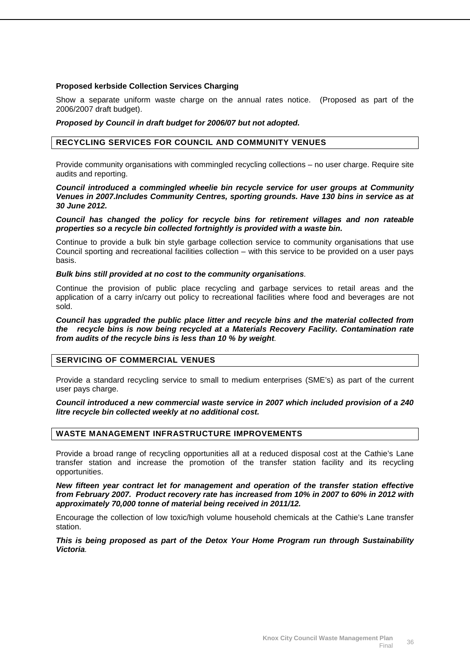#### **Proposed kerbside Collection Services Charging**

Show a separate uniform waste charge on the annual rates notice. (Proposed as part of the 2006/2007 draft budget).

#### *Proposed by Council in draft budget for 2006/07 but not adopted.*

#### **RECYCLING SERVICES FOR COUNCIL AND COMMUNITY VENUES**

Provide community organisations with commingled recycling collections – no user charge. Require site audits and reporting.

#### *Council introduced a commingled wheelie bin recycle service for user groups at Community Venues in 2007.Includes Community Centres, sporting grounds. Have 130 bins in service as at 30 June 2012.*

*Council has changed the policy for recycle bins for retirement villages and non rateable properties so a recycle bin collected fortnightly is provided with a waste bin.*

Continue to provide a bulk bin style garbage collection service to community organisations that use Council sporting and recreational facilities collection – with this service to be provided on a user pays basis.

#### *Bulk bins still provided at no cost to the community organisations.*

Continue the provision of public place recycling and garbage services to retail areas and the application of a carry in/carry out policy to recreational facilities where food and beverages are not sold.

#### *Council has upgraded the public place litter and recycle bins and the material collected from the recycle bins is now being recycled at a Materials Recovery Facility. Contamination rate from audits of the recycle bins is less than 10 % by weight.*

#### **SERVICING OF COMMERCIAL VENUES**

Provide a standard recycling service to small to medium enterprises (SME's) as part of the current user pays charge.

*Council introduced a new commercial waste service in 2007 which included provision of a 240 litre recycle bin collected weekly at no additional cost.*

#### **WASTE MANAGEMENT INFRASTRUCTURE IMPROVEMENTS**

Provide a broad range of recycling opportunities all at a reduced disposal cost at the Cathie's Lane transfer station and increase the promotion of the transfer station facility and its recycling opportunities.

*New fifteen year contract let for management and operation of the transfer station effective from February 2007. Product recovery rate has increased from 10% in 2007 to 60% in 2012 with approximately 70,000 tonne of material being received in 2011/12.*

Encourage the collection of low toxic/high volume household chemicals at the Cathie's Lane transfer station.

*This is being proposed as part of the Detox Your Home Program run through Sustainability Victoria.*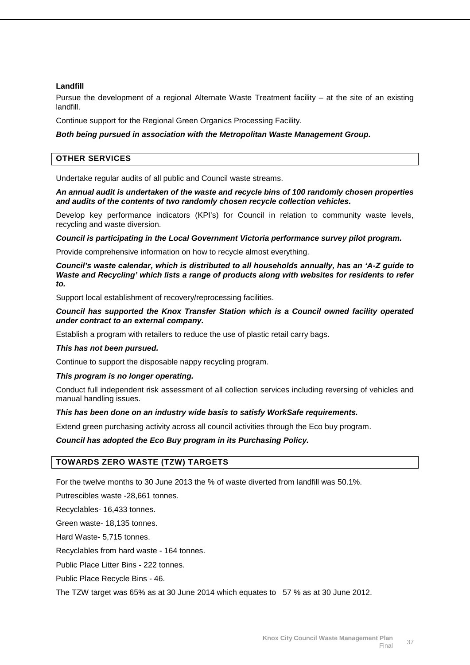#### **Landfill**

Pursue the development of a regional Alternate Waste Treatment facility – at the site of an existing landfill.

Continue support for the Regional Green Organics Processing Facility.

#### *Both being pursued in association with the Metropolitan Waste Management Group.*

#### **OTHER SERVICES**

Undertake regular audits of all public and Council waste streams.

*An annual audit is undertaken of the waste and recycle bins of 100 randomly chosen properties and audits of the contents of two randomly chosen recycle collection vehicles.*

Develop key performance indicators (KPI's) for Council in relation to community waste levels, recycling and waste diversion.

*Council is participating in the Local Government Victoria performance survey pilot program.*

Provide comprehensive information on how to recycle almost everything.

*Council's waste calendar, which is distributed to all households annually, has an 'A-Z guide to Waste and Recycling' which lists a range of products along with websites for residents to refer to.*

Support local establishment of recovery/reprocessing facilities.

#### *Council has supported the Knox Transfer Station which is a Council owned facility operated under contract to an external company.*

Establish a program with retailers to reduce the use of plastic retail carry bags.

#### *This has not been pursued.*

Continue to support the disposable nappy recycling program.

#### *This program is no longer operating.*

Conduct full independent risk assessment of all collection services including reversing of vehicles and manual handling issues.

#### *This has been done on an industry wide basis to satisfy WorkSafe requirements.*

Extend green purchasing activity across all council activities through the Eco buy program.

#### *Council has adopted the Eco Buy program in its Purchasing Policy.*

#### **TOWARDS ZERO WASTE (TZW) TARGETS**

For the twelve months to 30 June 2013 the % of waste diverted from landfill was 50.1%.

Putrescibles waste -28,661 tonnes.

Recyclables- 16,433 tonnes.

Green waste- 18,135 tonnes.

Hard Waste- 5,715 tonnes.

Recyclables from hard waste - 164 tonnes.

Public Place Litter Bins - 222 tonnes.

Public Place Recycle Bins - 46.

The TZW target was 65% as at 30 June 2014 which equates to 57 % as at 30 June 2012.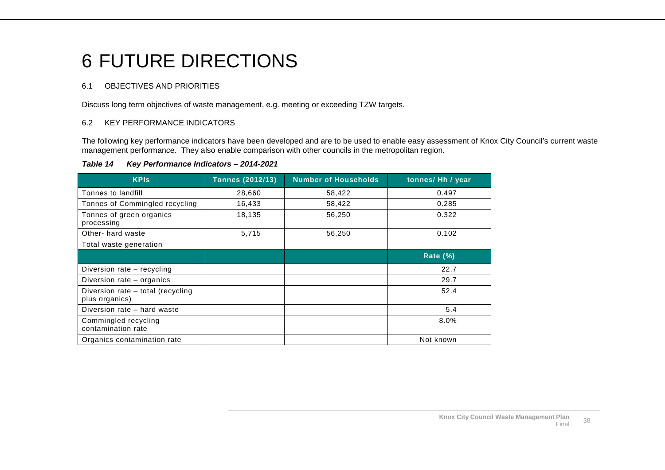# 6 FUTURE DIRECTIONS

# 6.1 OBJECTIVES AND PRIORITIES

Discuss long term objectives of waste management, e.g. meeting or exceeding TZW targets.

# 6.2 KEY PERFORMANCE INDICATORS

The following key performance indicators have been developed and are to be used to enable easy assessment of Knox City Council's current waste management performance. They also enable comparison with other councils in the metropolitan region.

#### *Table 14 Key Performance Indicators – 2014-2021*

<span id="page-39-2"></span><span id="page-39-1"></span><span id="page-39-0"></span>

| <b>KPIs</b>                                         | <b>Tonnes (2012/13)</b> | <b>Number of Households</b> | tonnes/ Hh / year |
|-----------------------------------------------------|-------------------------|-----------------------------|-------------------|
| Tonnes to landfill                                  | 28,660                  | 58,422                      | 0.497             |
| Tonnes of Commingled recycling                      | 16,433                  | 58,422                      | 0.285             |
| Tonnes of green organics<br>processing              | 18,135                  | 56,250                      | 0.322             |
| Other- hard waste                                   | 5,715                   | 56,250                      | 0.102             |
| Total waste generation                              |                         |                             |                   |
|                                                     |                         |                             | <b>Rate (%)</b>   |
| Diversion rate – recycling                          |                         |                             | 22.7              |
| Diversion rate – organics                           |                         |                             | 29.7              |
| Diversion rate - total (recycling<br>plus organics) |                         |                             | 52.4              |
| Diversion rate - hard waste                         |                         |                             | 5.4               |
| Commingled recycling<br>contamination rate          |                         |                             | 8.0%              |
| Organics contamination rate                         |                         |                             | Not known         |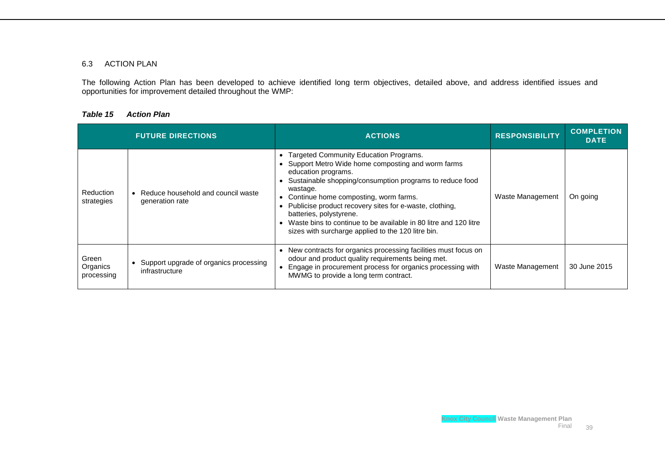#### 6.3 ACTION PLAN

The following Action Plan has been developed to achieve identified long term objectives, detailed above, and address identified issues and opportunities for improvement detailed throughout the WMP:

#### *Table 15 Action Plan*

<span id="page-40-0"></span>

|                                 | <b>FUTURE DIRECTIONS</b>                                   | <b>ACTIONS</b>                                                                                                                                                                                                                                                                                                                                                                                                                                                | <b>RESPONSIBILITY</b> | <b>COMPLETION</b><br><b>DATE</b> |
|---------------------------------|------------------------------------------------------------|---------------------------------------------------------------------------------------------------------------------------------------------------------------------------------------------------------------------------------------------------------------------------------------------------------------------------------------------------------------------------------------------------------------------------------------------------------------|-----------------------|----------------------------------|
| <b>Reduction</b><br>strategies  | • Reduce household and council waste<br>generation rate    | • Targeted Community Education Programs.<br>• Support Metro Wide home composting and worm farms<br>education programs.<br>• Sustainable shopping/consumption programs to reduce food<br>wastage.<br>• Continue home composting, worm farms.<br>• Publicise product recovery sites for e-waste, clothing,<br>batteries, polystyrene.<br>Waste bins to continue to be available in 80 litre and 120 litre<br>sizes with surcharge applied to the 120 litre bin. | Waste Management      | On going                         |
| Green<br>Organics<br>processing | • Support upgrade of organics processing<br>infrastructure | • New contracts for organics processing facilities must focus on<br>odour and product quality requirements being met.<br>Engage in procurement process for organics processing with<br>MWMG to provide a long term contract.                                                                                                                                                                                                                                  | Waste Management      | 30 June 2015                     |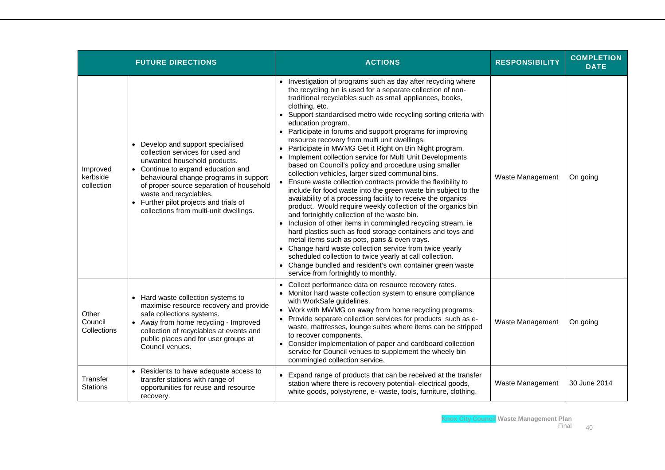|                                    | <b>FUTURE DIRECTIONS</b>                                                                                                                                                                                                                                                                                                                        | <b>ACTIONS</b>                                                                                                                                                                                                                                                                                                                                                                                                                                                                                                                                                                                                                                                                                                                                                                                                                                                                                                                                                                                                                                                                                                                                                                                                                                                                                                                                                                  | <b>RESPONSIBILITY</b> | <b>COMPLETION</b><br><b>DATE</b> |
|------------------------------------|-------------------------------------------------------------------------------------------------------------------------------------------------------------------------------------------------------------------------------------------------------------------------------------------------------------------------------------------------|---------------------------------------------------------------------------------------------------------------------------------------------------------------------------------------------------------------------------------------------------------------------------------------------------------------------------------------------------------------------------------------------------------------------------------------------------------------------------------------------------------------------------------------------------------------------------------------------------------------------------------------------------------------------------------------------------------------------------------------------------------------------------------------------------------------------------------------------------------------------------------------------------------------------------------------------------------------------------------------------------------------------------------------------------------------------------------------------------------------------------------------------------------------------------------------------------------------------------------------------------------------------------------------------------------------------------------------------------------------------------------|-----------------------|----------------------------------|
| Improved<br>kerbside<br>collection | • Develop and support specialised<br>collection services for used and<br>unwanted household products.<br>• Continue to expand education and<br>behavioural change programs in support<br>of proper source separation of household<br>waste and recyclables.<br>• Further pilot projects and trials of<br>collections from multi-unit dwellings. | Investigation of programs such as day after recycling where<br>the recycling bin is used for a separate collection of non-<br>traditional recyclables such as small appliances, books,<br>clothing, etc.<br>Support standardised metro wide recycling sorting criteria with<br>education program.<br>• Participate in forums and support programs for improving<br>resource recovery from multi unit dwellings.<br>Participate in MWMG Get it Right on Bin Night program.<br>Implement collection service for Multi Unit Developments<br>based on Council's policy and procedure using smaller<br>collection vehicles, larger sized communal bins.<br>Ensure waste collection contracts provide the flexibility to<br>include for food waste into the green waste bin subject to the<br>availability of a processing facility to receive the organics<br>product. Would require weekly collection of the organics bin<br>and fortnightly collection of the waste bin.<br>Inclusion of other items in commingled recycling stream, ie<br>hard plastics such as food storage containers and toys and<br>metal items such as pots, pans & oven trays.<br>• Change hard waste collection service from twice yearly<br>scheduled collection to twice yearly at call collection.<br>• Change bundled and resident's own container green waste<br>service from fortnightly to monthly. | Waste Management      | On going                         |
| Other<br>Council<br>Collections    | Hard waste collection systems to<br>$\bullet$<br>maximise resource recovery and provide<br>safe collections systems.<br>• Away from home recycling - Improved<br>collection of recyclables at events and<br>public places and for user groups at<br>Council venues.                                                                             | Collect performance data on resource recovery rates.<br>$\bullet$<br>Monitor hard waste collection system to ensure compliance<br>with WorkSafe guidelines.<br>• Work with MWMG on away from home recycling programs.<br>Provide separate collection services for products such as e-<br>$\bullet$<br>waste, mattresses, lounge suites where items can be stripped<br>to recover components.<br>Consider implementation of paper and cardboard collection<br>service for Council venues to supplement the wheely bin<br>commingled collection service.                                                                                                                                                                                                                                                                                                                                                                                                                                                                                                                                                                                                                                                                                                                                                                                                                          | Waste Management      | On going                         |
| Transfer<br><b>Stations</b>        | Residents to have adequate access to<br>$\bullet$<br>transfer stations with range of<br>opportunities for reuse and resource<br>recovery.                                                                                                                                                                                                       | Expand range of products that can be received at the transfer<br>station where there is recovery potential- electrical goods,<br>white goods, polystyrene, e- waste, tools, furniture, clothing.                                                                                                                                                                                                                                                                                                                                                                                                                                                                                                                                                                                                                                                                                                                                                                                                                                                                                                                                                                                                                                                                                                                                                                                | Waste Management      | 30 June 2014                     |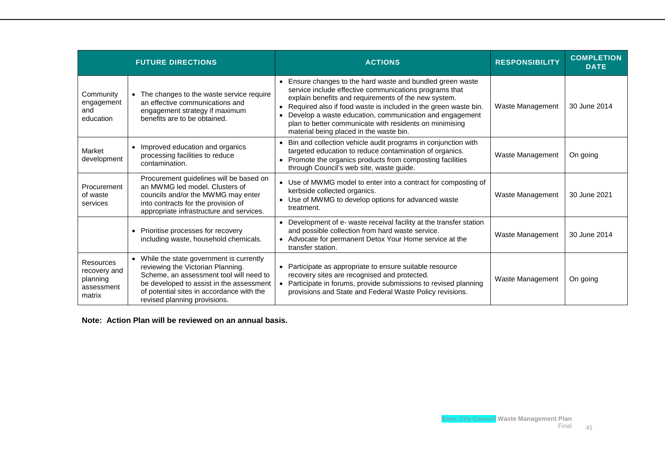|                                                               | <b>FUTURE DIRECTIONS</b>                                                                                                                                                                                                                           | <b>ACTIONS</b>                                                                                                                                                                                                                                                                                                                                                                                                                | <b>RESPONSIBILITY</b> | <b>COMPLETION</b><br><b>DATE</b> |
|---------------------------------------------------------------|----------------------------------------------------------------------------------------------------------------------------------------------------------------------------------------------------------------------------------------------------|-------------------------------------------------------------------------------------------------------------------------------------------------------------------------------------------------------------------------------------------------------------------------------------------------------------------------------------------------------------------------------------------------------------------------------|-----------------------|----------------------------------|
| Community<br>engagement<br>and<br>education                   | The changes to the waste service require<br>an effective communications and<br>engagement strategy if maximum<br>benefits are to be obtained.                                                                                                      | • Ensure changes to the hard waste and bundled green waste<br>service include effective communications programs that<br>explain benefits and requirements of the new system.<br>Required also if food waste is included in the green waste bin.<br>$\bullet$<br>Develop a waste education, communication and engagement<br>plan to better communicate with residents on minimising<br>material being placed in the waste bin. | Waste Management      | 30 June 2014                     |
| Market<br>development                                         | Improved education and organics<br>processing facilities to reduce<br>contamination.                                                                                                                                                               | Bin and collection vehicle audit programs in conjunction with<br>targeted education to reduce contamination of organics.<br>• Promote the organics products from composting facilities<br>through Council's web site, waste guide.                                                                                                                                                                                            | Waste Management      | On going                         |
| Procurement<br>of waste<br>services                           | Procurement guidelines will be based on<br>an MWMG led model. Clusters of<br>councils and/or the MWMG may enter<br>into contracts for the provision of<br>appropriate infrastructure and services.                                                 | • Use of MWMG model to enter into a contract for composting of<br>kerbside collected organics.<br>Use of MWMG to develop options for advanced waste<br>treatment.                                                                                                                                                                                                                                                             | Waste Management      | 30 June 2021                     |
|                                                               | • Prioritise processes for recovery<br>including waste, household chemicals.                                                                                                                                                                       | Development of e- waste receival facility at the transfer station<br>and possible collection from hard waste service.<br>• Advocate for permanent Detox Your Home service at the<br>transfer station.                                                                                                                                                                                                                         | Waste Management      | 30 June 2014                     |
| Resources<br>recovery and<br>planning<br>assessment<br>matrix | • While the state government is currently<br>reviewing the Victorian Planning.<br>Scheme, an assessment tool will need to<br>be developed to assist in the assessment<br>of potential sites in accordance with the<br>revised planning provisions. | • Participate as appropriate to ensure suitable resource<br>recovery sites are recognised and protected.<br>Participate in forums, provide submissions to revised planning<br>provisions and State and Federal Waste Policy revisions.                                                                                                                                                                                        | Waste Management      | On going                         |

**Note: Action Plan will be reviewed on an annual basis.**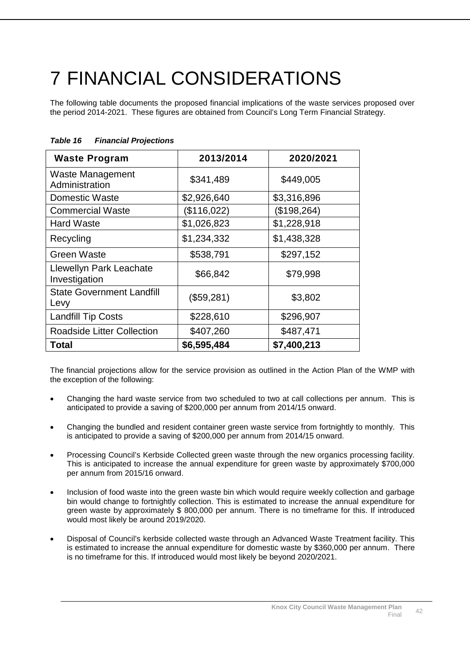# <span id="page-43-0"></span>7 FINANCIAL CONSIDERATIONS

The following table documents the proposed financial implications of the waste services proposed over the period 2014-2021. These figures are obtained from Council's Long Term Financial Strategy.

| <b>Waste Program</b>                     | 2013/2014   | 2020/2021   |
|------------------------------------------|-------------|-------------|
| Waste Management<br>Administration       | \$341,489   | \$449,005   |
| <b>Domestic Waste</b>                    | \$2,926,640 | \$3,316,896 |
| <b>Commercial Waste</b>                  | (\$116,022) | (\$198,264) |
| <b>Hard Waste</b>                        | \$1,026,823 | \$1,228,918 |
| Recycling                                | \$1,234,332 | \$1,438,328 |
| Green Waste                              | \$538,791   | \$297,152   |
| Llewellyn Park Leachate<br>Investigation | \$66,842    | \$79,998    |
| <b>State Government Landfill</b><br>Levy | (\$59,281)  | \$3,802     |
| <b>Landfill Tip Costs</b>                | \$228,610   | \$296,907   |
| <b>Roadside Litter Collection</b>        | \$407,260   | \$487,471   |
| Total                                    | \$6,595,484 | \$7,400,213 |

# *Table 16 Financial Projections*

The financial projections allow for the service provision as outlined in the Action Plan of the WMP with the exception of the following:

- Changing the hard waste service from two scheduled to two at call collections per annum. This is anticipated to provide a saving of \$200,000 per annum from 2014/15 onward.
- Changing the bundled and resident container green waste service from fortnightly to monthly. This is anticipated to provide a saving of \$200,000 per annum from 2014/15 onward.
- Processing Council's Kerbside Collected green waste through the new organics processing facility. This is anticipated to increase the annual expenditure for green waste by approximately \$700,000 per annum from 2015/16 onward.
- Inclusion of food waste into the green waste bin which would require weekly collection and garbage bin would change to fortnightly collection. This is estimated to increase the annual expenditure for green waste by approximately \$ 800,000 per annum. There is no timeframe for this. If introduced would most likely be around 2019/2020.
- Disposal of Council's kerbside collected waste through an Advanced Waste Treatment facility. This is estimated to increase the annual expenditure for domestic waste by \$360,000 per annum. There is no timeframe for this. If introduced would most likely be beyond 2020/2021.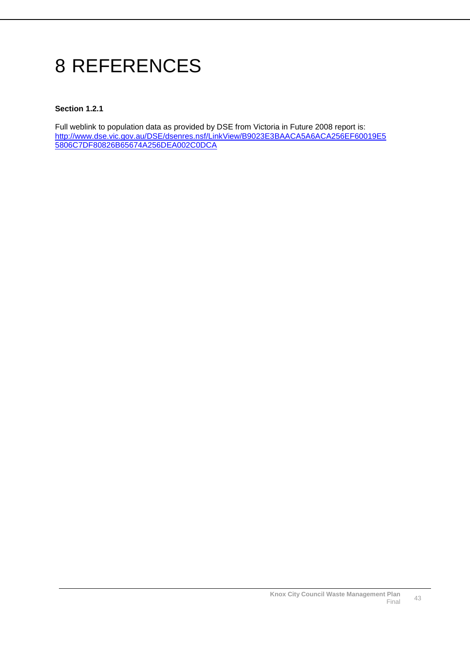# <span id="page-44-0"></span>8 REFERENCES

### **Section 1.2.1**

Full weblink to population data as provided by DSE from Victoria in Future 2008 report is: [http://www.dse.vic.gov.au/DSE/dsenres.nsf/LinkView/B9023E3BAACA5A6ACA256EF60019E5](http://www.dse.vic.gov.au/DSE/dsenres.nsf/LinkView/B9023E3BAACA5A6ACA256EF60019E55806C7DF80826B65674A256DEA002C0DCA) [5806C7DF80826B65674A256DEA002C0DCA](http://www.dse.vic.gov.au/DSE/dsenres.nsf/LinkView/B9023E3BAACA5A6ACA256EF60019E55806C7DF80826B65674A256DEA002C0DCA)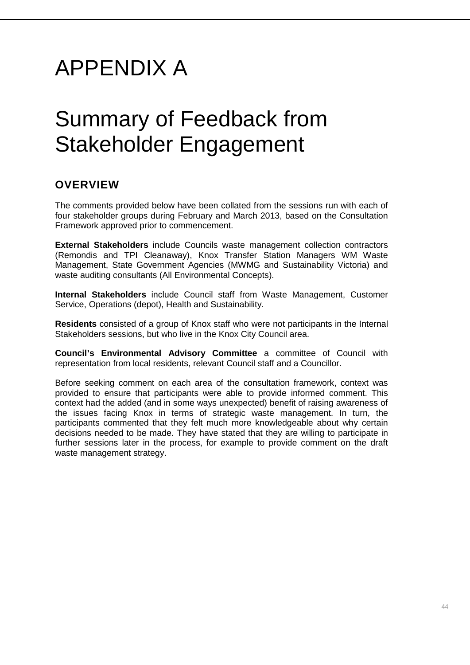# APPENDIX A

# Summary of Feedback from Stakeholder Engagement

# **OVERVIEW**

The comments provided below have been collated from the sessions run with each of four stakeholder groups during February and March 2013, based on the Consultation Framework approved prior to commencement.

**External Stakeholders** include Councils waste management collection contractors (Remondis and TPI Cleanaway), Knox Transfer Station Managers WM Waste Management, State Government Agencies (MWMG and Sustainability Victoria) and waste auditing consultants (All Environmental Concepts).

**Internal Stakeholders** include Council staff from Waste Management, Customer Service, Operations (depot), Health and Sustainability.

**Residents** consisted of a group of Knox staff who were not participants in the Internal Stakeholders sessions, but who live in the Knox City Council area.

**Council's Environmental Advisory Committee** a committee of Council with representation from local residents, relevant Council staff and a Councillor.

Before seeking comment on each area of the consultation framework, context was provided to ensure that participants were able to provide informed comment. This context had the added (and in some ways unexpected) benefit of raising awareness of the issues facing Knox in terms of strategic waste management. In turn, the participants commented that they felt much more knowledgeable about why certain decisions needed to be made. They have stated that they are willing to participate in further sessions later in the process, for example to provide comment on the draft waste management strategy.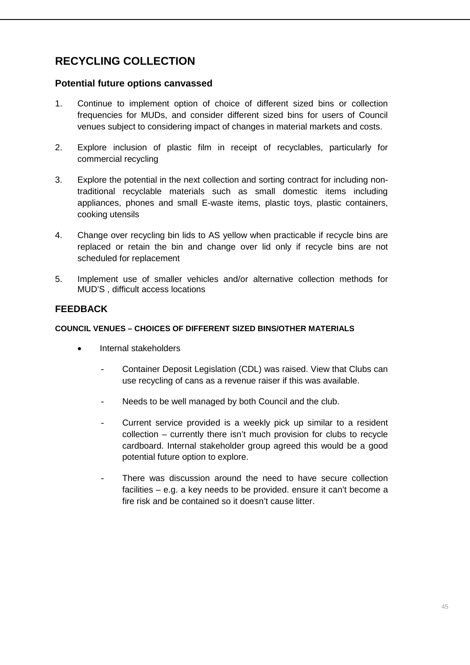# **RECYCLING COLLECTION**

# **Potential future options canvassed**

- 1. Continue to implement option of choice of different sized bins or collection frequencies for MUDs, and consider different sized bins for users of Council venues subject to considering impact of changes in material markets and costs.
- 2. Explore inclusion of plastic film in receipt of recyclables, particularly for commercial recycling
- 3. Explore the potential in the next collection and sorting contract for including nontraditional recyclable materials such as small domestic items including appliances, phones and small E-waste items, plastic toys, plastic containers, cooking utensils
- 4. Change over recycling bin lids to AS yellow when practicable if recycle bins are replaced or retain the bin and change over lid only if recycle bins are not scheduled for replacement
- 5. Implement use of smaller vehicles and/or alternative collection methods for MUD'S , difficult access locations

# **FEEDBACK**

### **COUNCIL VENUES – CHOICES OF DIFFERENT SIZED BINS/OTHER MATERIALS**

- Internal stakeholders
	- Container Deposit Legislation (CDL) was raised. View that Clubs can use recycling of cans as a revenue raiser if this was available.
	- Needs to be well managed by both Council and the club.
	- Current service provided is a weekly pick up similar to a resident collection – currently there isn't much provision for clubs to recycle cardboard. Internal stakeholder group agreed this would be a good potential future option to explore.
	- There was discussion around the need to have secure collection facilities – e.g. a key needs to be provided. ensure it can't become a fire risk and be contained so it doesn't cause litter.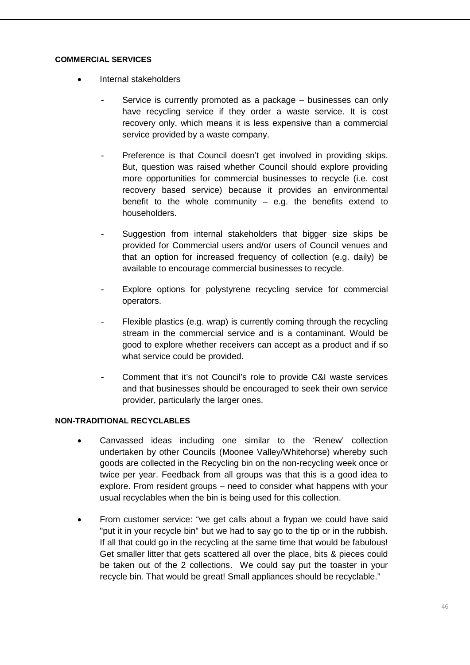#### **COMMERCIAL SERVICES**

- Internal stakeholders
	- Service is currently promoted as a package businesses can only have recycling service if they order a waste service. It is cost recovery only, which means it is less expensive than a commercial service provided by a waste company.
	- Preference is that Council doesn't get involved in providing skips. But, question was raised whether Council should explore providing more opportunities for commercial businesses to recycle (i.e. cost recovery based service) because it provides an environmental benefit to the whole community  $-$  e.g. the benefits extend to householders.
	- Suggestion from internal stakeholders that bigger size skips be provided for Commercial users and/or users of Council venues and that an option for increased frequency of collection (e.g. daily) be available to encourage commercial businesses to recycle.
	- Explore options for polystyrene recycling service for commercial operators.
	- Flexible plastics (e.g. wrap) is currently coming through the recycling stream in the commercial service and is a contaminant. Would be good to explore whether receivers can accept as a product and if so what service could be provided.
	- Comment that it's not Council's role to provide C&I waste services and that businesses should be encouraged to seek their own service provider, particularly the larger ones.

# **NON-TRADITIONAL RECYCLABLES**

- Canvassed ideas including one similar to the 'Renew' collection undertaken by other Councils (Moonee Valley/Whitehorse) whereby such goods are collected in the Recycling bin on the non-recycling week once or twice per year. Feedback from all groups was that this is a good idea to explore. From resident groups – need to consider what happens with your usual recyclables when the bin is being used for this collection.
- From customer service: "we get calls about a frypan we could have said "put it in your recycle bin" but we had to say go to the tip or in the rubbish. If all that could go in the recycling at the same time that would be fabulous! Get smaller litter that gets scattered all over the place, bits & pieces could be taken out of the 2 collections. We could say put the toaster in your recycle bin. That would be great! Small appliances should be recyclable."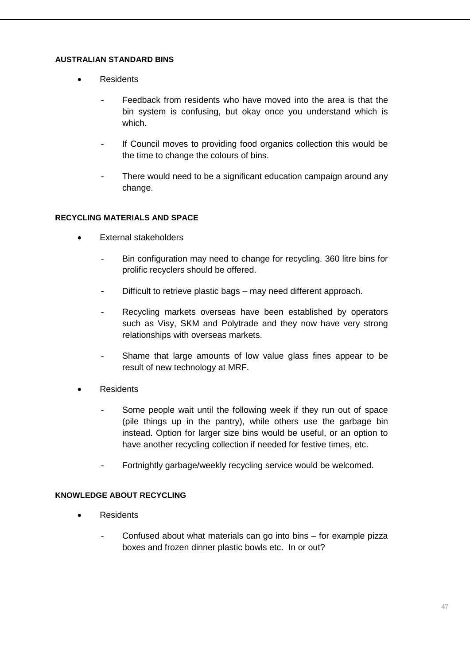# **AUSTRALIAN STANDARD BINS**

- Residents
	- Feedback from residents who have moved into the area is that the bin system is confusing, but okay once you understand which is which.
	- If Council moves to providing food organics collection this would be the time to change the colours of bins.
	- There would need to be a significant education campaign around any change.

# **RECYCLING MATERIALS AND SPACE**

- External stakeholders
	- Bin configuration may need to change for recycling. 360 litre bins for prolific recyclers should be offered.
	- Difficult to retrieve plastic bags may need different approach.
	- Recycling markets overseas have been established by operators such as Visy, SKM and Polytrade and they now have very strong relationships with overseas markets.
	- Shame that large amounts of low value glass fines appear to be result of new technology at MRF.
- **Residents** 
	- Some people wait until the following week if they run out of space (pile things up in the pantry), while others use the garbage bin instead. Option for larger size bins would be useful, or an option to have another recycling collection if needed for festive times, etc.
	- Fortnightly garbage/weekly recycling service would be welcomed.

# **KNOWLEDGE ABOUT RECYCLING**

- Residents
	- Confused about what materials can go into bins  $-$  for example pizza boxes and frozen dinner plastic bowls etc. In or out?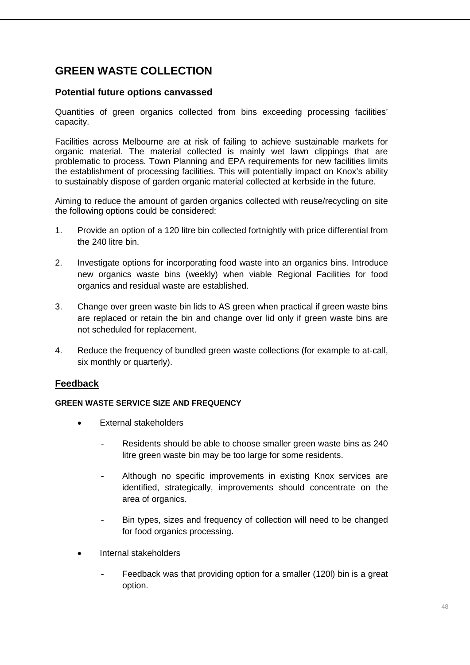# **GREEN WASTE COLLECTION**

# **Potential future options canvassed**

Quantities of green organics collected from bins exceeding processing facilities' capacity.

Facilities across Melbourne are at risk of failing to achieve sustainable markets for organic material. The material collected is mainly wet lawn clippings that are problematic to process. Town Planning and EPA requirements for new facilities limits the establishment of processing facilities. This will potentially impact on Knox's ability to sustainably dispose of garden organic material collected at kerbside in the future.

Aiming to reduce the amount of garden organics collected with reuse/recycling on site the following options could be considered:

- 1. Provide an option of a 120 litre bin collected fortnightly with price differential from the 240 litre bin.
- 2. Investigate options for incorporating food waste into an organics bins. Introduce new organics waste bins (weekly) when viable Regional Facilities for food organics and residual waste are established.
- 3. Change over green waste bin lids to AS green when practical if green waste bins are replaced or retain the bin and change over lid only if green waste bins are not scheduled for replacement.
- 4. Reduce the frequency of bundled green waste collections (for example to at-call, six monthly or quarterly).

# **Feedback**

# **GREEN WASTE SERVICE SIZE AND FREQUENCY**

- External stakeholders
	- Residents should be able to choose smaller green waste bins as 240 litre green waste bin may be too large for some residents.
	- Although no specific improvements in existing Knox services are identified, strategically, improvements should concentrate on the area of organics.
	- Bin types, sizes and frequency of collection will need to be changed for food organics processing.
- Internal stakeholders
	- Feedback was that providing option for a smaller (120l) bin is a great option.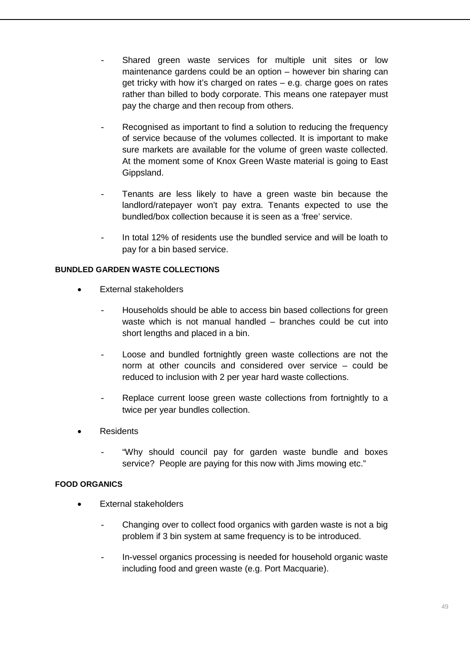- Shared green waste services for multiple unit sites or low maintenance gardens could be an option – however bin sharing can get tricky with how it's charged on rates – e.g. charge goes on rates rather than billed to body corporate. This means one ratepayer must pay the charge and then recoup from others.
- Recognised as important to find a solution to reducing the frequency of service because of the volumes collected. It is important to make sure markets are available for the volume of green waste collected. At the moment some of Knox Green Waste material is going to East Gippsland.
- Tenants are less likely to have a green waste bin because the landlord/ratepayer won't pay extra. Tenants expected to use the bundled/box collection because it is seen as a 'free' service.
- In total 12% of residents use the bundled service and will be loath to pay for a bin based service.

# **BUNDLED GARDEN WASTE COLLECTIONS**

- External stakeholders
	- Households should be able to access bin based collections for green waste which is not manual handled – branches could be cut into short lengths and placed in a bin.
	- Loose and bundled fortnightly green waste collections are not the norm at other councils and considered over service – could be reduced to inclusion with 2 per year hard waste collections.
	- Replace current loose green waste collections from fortnightly to a twice per year bundles collection.
- Residents
	- "Why should council pay for garden waste bundle and boxes service? People are paying for this now with Jims mowing etc."

# **FOOD ORGANICS**

- External stakeholders
	- Changing over to collect food organics with garden waste is not a big problem if 3 bin system at same frequency is to be introduced.
	- In-vessel organics processing is needed for household organic waste including food and green waste (e.g. Port Macquarie).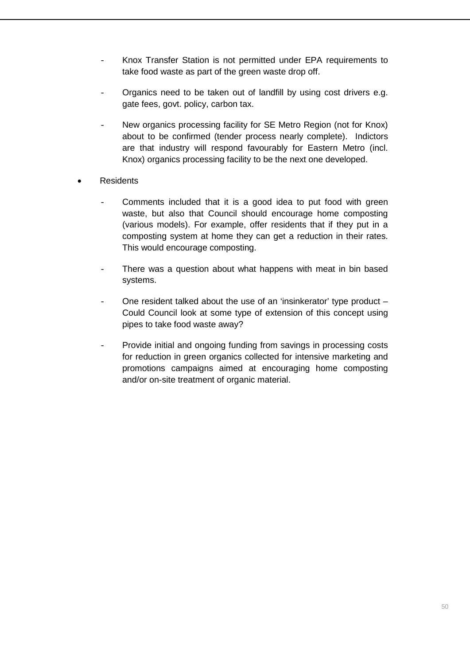- Knox Transfer Station is not permitted under EPA requirements to take food waste as part of the green waste drop off.
- Organics need to be taken out of landfill by using cost drivers e.g. gate fees, govt. policy, carbon tax.
- New organics processing facility for SE Metro Region (not for Knox) about to be confirmed (tender process nearly complete). Indictors are that industry will respond favourably for Eastern Metro (incl. Knox) organics processing facility to be the next one developed.
- **Residents** 
	- Comments included that it is a good idea to put food with green waste, but also that Council should encourage home composting (various models). For example, offer residents that if they put in a composting system at home they can get a reduction in their rates. This would encourage composting.
	- There was a question about what happens with meat in bin based systems.
	- One resident talked about the use of an 'insinkerator' type product Could Council look at some type of extension of this concept using pipes to take food waste away?
	- Provide initial and ongoing funding from savings in processing costs for reduction in green organics collected for intensive marketing and promotions campaigns aimed at encouraging home composting and/or on-site treatment of organic material.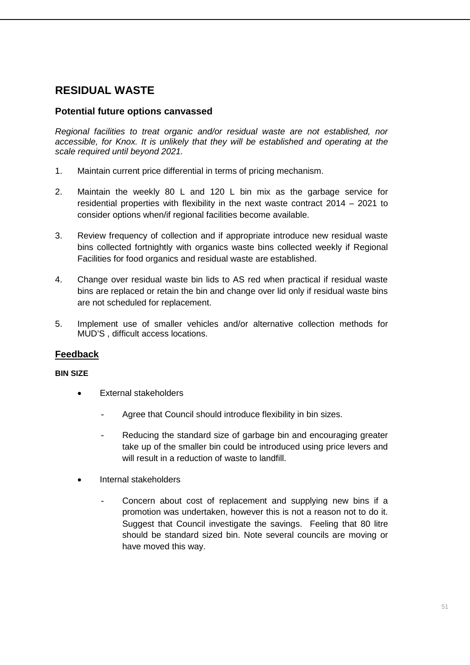# **RESIDUAL WASTE**

# **Potential future options canvassed**

*Regional facilities to treat organic and/or residual waste are not established, nor accessible, for Knox. It is unlikely that they will be established and operating at the scale required until beyond 2021.*

- 1. Maintain current price differential in terms of pricing mechanism.
- 2. Maintain the weekly 80 L and 120 L bin mix as the garbage service for residential properties with flexibility in the next waste contract 2014 – 2021 to consider options when/if regional facilities become available.
- 3. Review frequency of collection and if appropriate introduce new residual waste bins collected fortnightly with organics waste bins collected weekly if Regional Facilities for food organics and residual waste are established.
- 4. Change over residual waste bin lids to AS red when practical if residual waste bins are replaced or retain the bin and change over lid only if residual waste bins are not scheduled for replacement.
- 5. Implement use of smaller vehicles and/or alternative collection methods for MUD'S , difficult access locations.

# **Feedback**

#### **BIN SIZE**

- External stakeholders
	- Agree that Council should introduce flexibility in bin sizes.
	- Reducing the standard size of garbage bin and encouraging greater take up of the smaller bin could be introduced using price levers and will result in a reduction of waste to landfill.
- Internal stakeholders
	- Concern about cost of replacement and supplying new bins if a promotion was undertaken, however this is not a reason not to do it. Suggest that Council investigate the savings. Feeling that 80 litre should be standard sized bin. Note several councils are moving or have moved this way.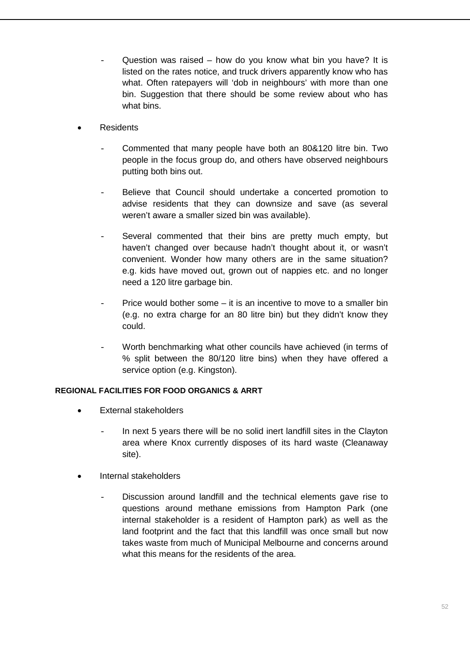- Question was raised how do you know what bin you have? It is listed on the rates notice, and truck drivers apparently know who has what. Often ratepayers will 'dob in neighbours' with more than one bin. Suggestion that there should be some review about who has what bins.
- Residents
	- Commented that many people have both an 80&120 litre bin. Two people in the focus group do, and others have observed neighbours putting both bins out.
	- Believe that Council should undertake a concerted promotion to advise residents that they can downsize and save (as several weren't aware a smaller sized bin was available).
	- Several commented that their bins are pretty much empty, but haven't changed over because hadn't thought about it, or wasn't convenient. Wonder how many others are in the same situation? e.g. kids have moved out, grown out of nappies etc. and no longer need a 120 litre garbage bin.
	- Price would bother some  $-$  it is an incentive to move to a smaller bin (e.g. no extra charge for an 80 litre bin) but they didn't know they could.
	- Worth benchmarking what other councils have achieved (in terms of % split between the 80/120 litre bins) when they have offered a service option (e.g. Kingston).

# **REGIONAL FACILITIES FOR FOOD ORGANICS & ARRT**

- External stakeholders
	- In next 5 years there will be no solid inert landfill sites in the Clayton area where Knox currently disposes of its hard waste (Cleanaway site).
- Internal stakeholders
	- Discussion around landfill and the technical elements gave rise to questions around methane emissions from Hampton Park (one internal stakeholder is a resident of Hampton park) as well as the land footprint and the fact that this landfill was once small but now takes waste from much of Municipal Melbourne and concerns around what this means for the residents of the area.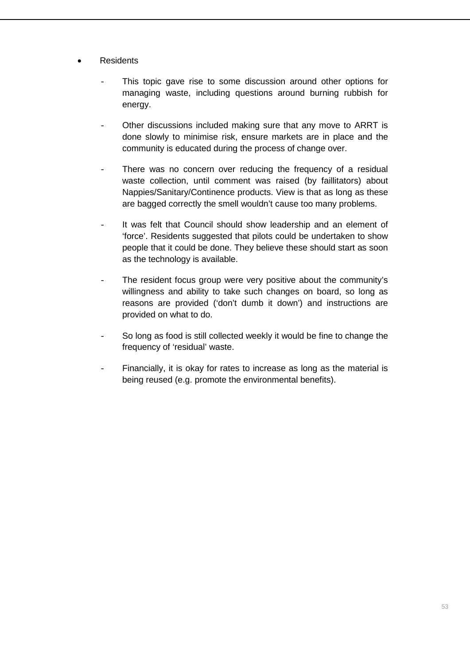- Residents
	- This topic gave rise to some discussion around other options for managing waste, including questions around burning rubbish for energy.
	- Other discussions included making sure that any move to ARRT is done slowly to minimise risk, ensure markets are in place and the community is educated during the process of change over.
	- There was no concern over reducing the frequency of a residual waste collection, until comment was raised (by faillitators) about Nappies/Sanitary/Continence products. View is that as long as these are bagged correctly the smell wouldn't cause too many problems.
	- It was felt that Council should show leadership and an element of 'force'. Residents suggested that pilots could be undertaken to show people that it could be done. They believe these should start as soon as the technology is available.
	- The resident focus group were very positive about the community's willingness and ability to take such changes on board, so long as reasons are provided ('don't dumb it down') and instructions are provided on what to do.
	- So long as food is still collected weekly it would be fine to change the frequency of 'residual' waste.
	- Financially, it is okay for rates to increase as long as the material is being reused (e.g. promote the environmental benefits).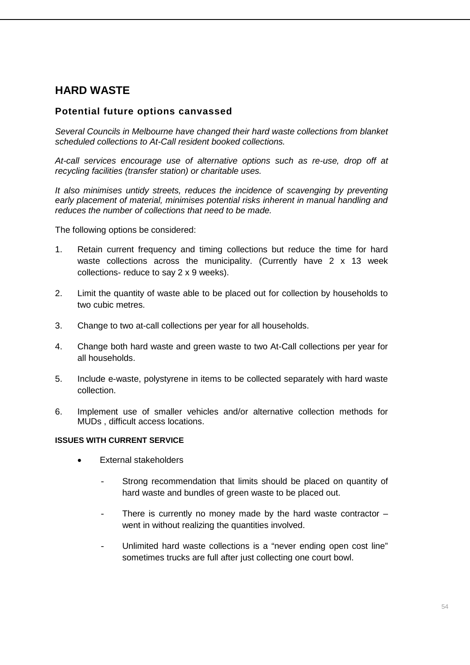# **HARD WASTE**

# **Potential future options canvassed**

*Several Councils in Melbourne have changed their hard waste collections from blanket scheduled collections to At-Call resident booked collections.* 

*At-call services encourage use of alternative options such as re-use, drop off at recycling facilities (transfer station) or charitable uses.* 

*It also minimises untidy streets, reduces the incidence of scavenging by preventing early placement of material, minimises potential risks inherent in manual handling and reduces the number of collections that need to be made.*

The following options be considered:

- 1. Retain current frequency and timing collections but reduce the time for hard waste collections across the municipality. (Currently have 2 x 13 week collections- reduce to say 2 x 9 weeks).
- 2. Limit the quantity of waste able to be placed out for collection by households to two cubic metres.
- 3. Change to two at-call collections per year for all households.
- 4. Change both hard waste and green waste to two At-Call collections per year for all households.
- 5. Include e-waste, polystyrene in items to be collected separately with hard waste collection.
- 6. Implement use of smaller vehicles and/or alternative collection methods for MUDs , difficult access locations.

#### **ISSUES WITH CURRENT SERVICE**

- External stakeholders
	- Strong recommendation that limits should be placed on quantity of hard waste and bundles of green waste to be placed out.
	- There is currently no money made by the hard waste contractor  $$ went in without realizing the quantities involved.
	- Unlimited hard waste collections is a "never ending open cost line" sometimes trucks are full after just collecting one court bowl.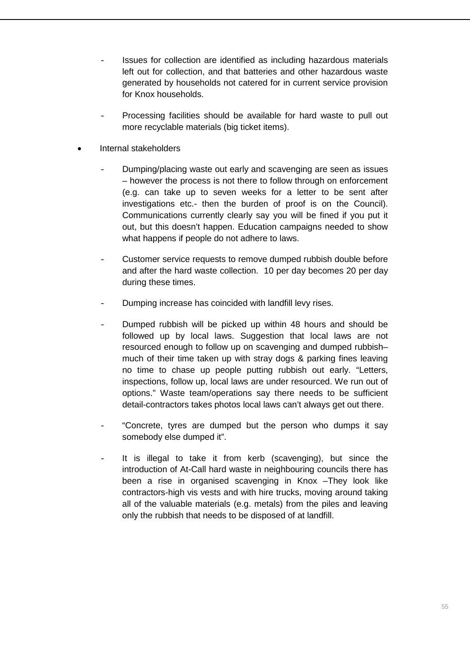- Issues for collection are identified as including hazardous materials left out for collection, and that batteries and other hazardous waste generated by households not catered for in current service provision for Knox households.
- Processing facilities should be available for hard waste to pull out more recyclable materials (big ticket items).
- Internal stakeholders
	- Dumping/placing waste out early and scavenging are seen as issues – however the process is not there to follow through on enforcement (e.g. can take up to seven weeks for a letter to be sent after investigations etc.- then the burden of proof is on the Council). Communications currently clearly say you will be fined if you put it out, but this doesn't happen. Education campaigns needed to show what happens if people do not adhere to laws.
	- Customer service requests to remove dumped rubbish double before and after the hard waste collection. 10 per day becomes 20 per day during these times.
	- Dumping increase has coincided with landfill levy rises.
	- Dumped rubbish will be picked up within 48 hours and should be followed up by local laws. Suggestion that local laws are not resourced enough to follow up on scavenging and dumped rubbish– much of their time taken up with stray dogs & parking fines leaving no time to chase up people putting rubbish out early. "Letters, inspections, follow up, local laws are under resourced. We run out of options." Waste team/operations say there needs to be sufficient detail-contractors takes photos local laws can't always get out there.
	- "Concrete, tyres are dumped but the person who dumps it say somebody else dumped it".
	- It is illegal to take it from kerb (scavenging), but since the introduction of At-Call hard waste in neighbouring councils there has been a rise in organised scavenging in Knox –They look like contractors-high vis vests and with hire trucks, moving around taking all of the valuable materials (e.g. metals) from the piles and leaving only the rubbish that needs to be disposed of at landfill.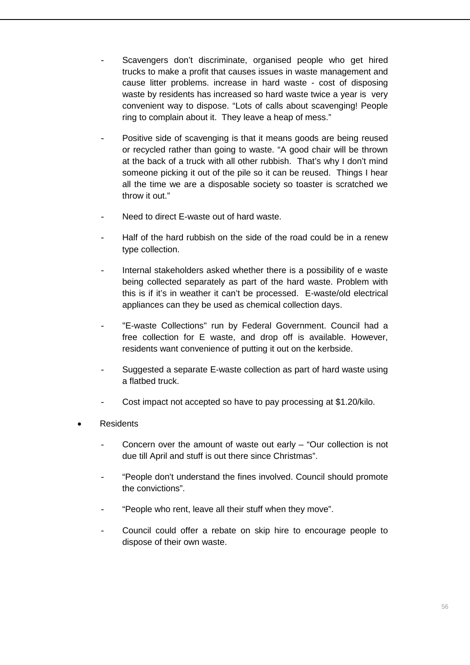- Scavengers don't discriminate, organised people who get hired trucks to make a profit that causes issues in waste management and cause litter problems. increase in hard waste - cost of disposing waste by residents has increased so hard waste twice a year is very convenient way to dispose. "Lots of calls about scavenging! People ring to complain about it. They leave a heap of mess."
- Positive side of scavenging is that it means goods are being reused or recycled rather than going to waste. "A good chair will be thrown at the back of a truck with all other rubbish. That's why I don't mind someone picking it out of the pile so it can be reused. Things I hear all the time we are a disposable society so toaster is scratched we throw it out."
- Need to direct E-waste out of hard waste.
- Half of the hard rubbish on the side of the road could be in a renew type collection.
- Internal stakeholders asked whether there is a possibility of e waste being collected separately as part of the hard waste. Problem with this is if it's in weather it can't be processed. E-waste/old electrical appliances can they be used as chemical collection days.
- "E-waste Collections" run by Federal Government. Council had a free collection for E waste, and drop off is available. However, residents want convenience of putting it out on the kerbside.
- Suggested a separate E-waste collection as part of hard waste using a flatbed truck.
- Cost impact not accepted so have to pay processing at \$1.20/kilo.
- **Residents** 
	- Concern over the amount of waste out early  $-$  "Our collection is not due till April and stuff is out there since Christmas".
	- "People don't understand the fines involved. Council should promote the convictions".
	- "People who rent, leave all their stuff when they move".
	- Council could offer a rebate on skip hire to encourage people to dispose of their own waste.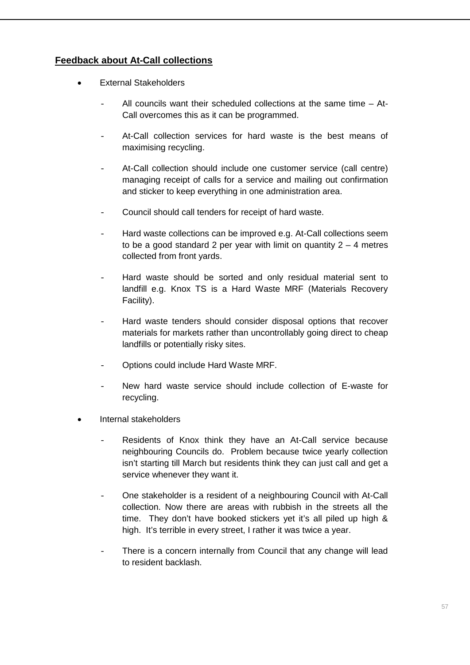# **Feedback about At-Call collections**

- **External Stakeholders** 
	- All councils want their scheduled collections at the same time  $-$  At-Call overcomes this as it can be programmed.
	- At-Call collection services for hard waste is the best means of maximising recycling.
	- At-Call collection should include one customer service (call centre) managing receipt of calls for a service and mailing out confirmation and sticker to keep everything in one administration area.
	- Council should call tenders for receipt of hard waste.
	- Hard waste collections can be improved e.g. At-Call collections seem to be a good standard 2 per year with limit on quantity  $2 - 4$  metres collected from front yards.
	- Hard waste should be sorted and only residual material sent to landfill e.g. Knox TS is a Hard Waste MRF (Materials Recovery Facility).
	- Hard waste tenders should consider disposal options that recover materials for markets rather than uncontrollably going direct to cheap landfills or potentially risky sites.
	- Options could include Hard Waste MRF.
	- New hard waste service should include collection of E-waste for recycling.
- Internal stakeholders
	- Residents of Knox think they have an At-Call service because neighbouring Councils do. Problem because twice yearly collection isn't starting till March but residents think they can just call and get a service whenever they want it.
	- One stakeholder is a resident of a neighbouring Council with At-Call collection. Now there are areas with rubbish in the streets all the time. They don't have booked stickers yet it's all piled up high & high. It's terrible in every street, I rather it was twice a year.
	- There is a concern internally from Council that any change will lead to resident backlash.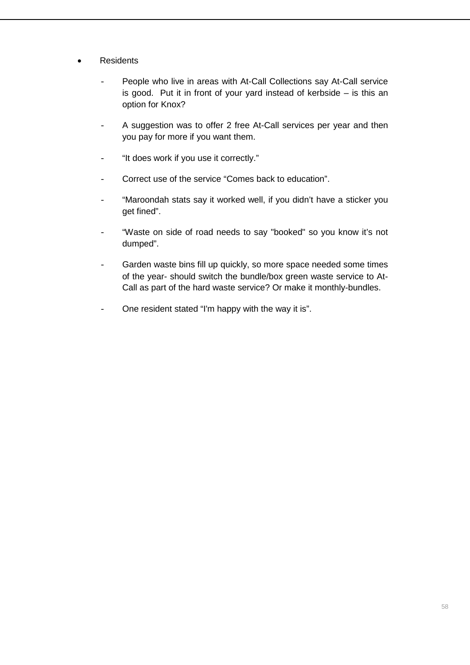- Residents
	- People who live in areas with At-Call Collections say At-Call service is good. Put it in front of your yard instead of kerbside  $-$  is this an option for Knox?
	- A suggestion was to offer 2 free At-Call services per year and then you pay for more if you want them.
	- "It does work if you use it correctly."
	- Correct use of the service "Comes back to education".
	- "Maroondah stats say it worked well, if you didn't have a sticker you get fined".
	- "Waste on side of road needs to say "booked" so you know it's not dumped".
	- Garden waste bins fill up quickly, so more space needed some times of the year- should switch the bundle/box green waste service to At-Call as part of the hard waste service? Or make it monthly-bundles.
	- One resident stated "I'm happy with the way it is".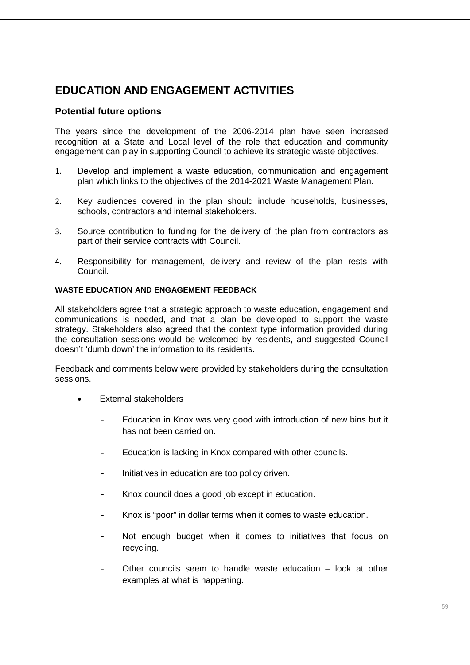# **EDUCATION AND ENGAGEMENT ACTIVITIES**

# **Potential future options**

The years since the development of the 2006-2014 plan have seen increased recognition at a State and Local level of the role that education and community engagement can play in supporting Council to achieve its strategic waste objectives.

- 1. Develop and implement a waste education, communication and engagement plan which links to the objectives of the 2014-2021 Waste Management Plan.
- 2. Key audiences covered in the plan should include households, businesses, schools, contractors and internal stakeholders.
- 3. Source contribution to funding for the delivery of the plan from contractors as part of their service contracts with Council.
- 4. Responsibility for management, delivery and review of the plan rests with Council.

# **WASTE EDUCATION AND ENGAGEMENT FEEDBACK**

All stakeholders agree that a strategic approach to waste education, engagement and communications is needed, and that a plan be developed to support the waste strategy. Stakeholders also agreed that the context type information provided during the consultation sessions would be welcomed by residents, and suggested Council doesn't 'dumb down' the information to its residents.

Feedback and comments below were provided by stakeholders during the consultation sessions.

- **External stakeholders** 
	- Education in Knox was very good with introduction of new bins but it has not been carried on.
	- Education is lacking in Knox compared with other councils.
	- Initiatives in education are too policy driven.
	- Knox council does a good job except in education.
	- Knox is "poor" in dollar terms when it comes to waste education.
	- Not enough budget when it comes to initiatives that focus on recycling.
	- Other councils seem to handle waste education look at other examples at what is happening.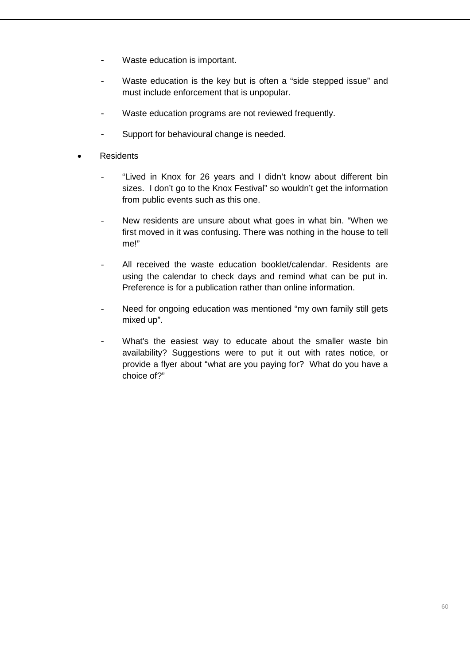- Waste education is important.
- Waste education is the key but is often a "side stepped issue" and must include enforcement that is unpopular.
- Waste education programs are not reviewed frequently.
- Support for behavioural change is needed.
- **Residents** 
	- "Lived in Knox for 26 years and I didn't know about different bin sizes. I don't go to the Knox Festival" so wouldn't get the information from public events such as this one.
	- New residents are unsure about what goes in what bin. "When we first moved in it was confusing. There was nothing in the house to tell me!"
	- All received the waste education booklet/calendar. Residents are using the calendar to check days and remind what can be put in. Preference is for a publication rather than online information.
	- Need for ongoing education was mentioned "my own family still gets mixed up".
	- What's the easiest way to educate about the smaller waste bin availability? Suggestions were to put it out with rates notice, or provide a flyer about "what are you paying for? What do you have a choice of?"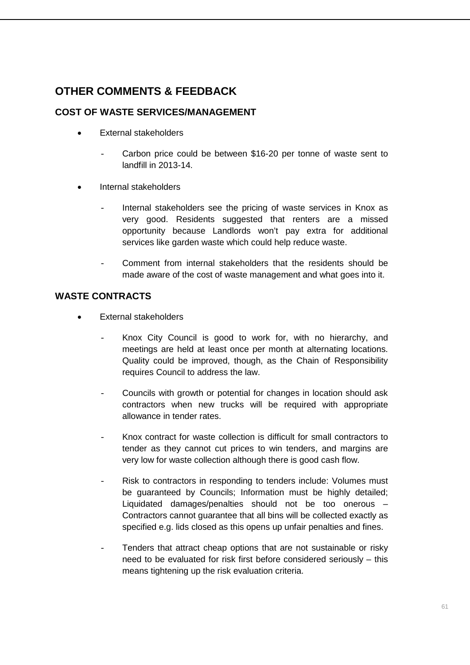# **OTHER COMMENTS & FEEDBACK**

# **COST OF WASTE SERVICES/MANAGEMENT**

- External stakeholders
	- Carbon price could be between \$16-20 per tonne of waste sent to landfill in 2013-14.
- Internal stakeholders
	- Internal stakeholders see the pricing of waste services in Knox as very good. Residents suggested that renters are a missed opportunity because Landlords won't pay extra for additional services like garden waste which could help reduce waste.
	- Comment from internal stakeholders that the residents should be made aware of the cost of waste management and what goes into it.

# **WASTE CONTRACTS**

- External stakeholders
	- Knox City Council is good to work for, with no hierarchy, and meetings are held at least once per month at alternating locations. Quality could be improved, though, as the Chain of Responsibility requires Council to address the law.
	- Councils with growth or potential for changes in location should ask contractors when new trucks will be required with appropriate allowance in tender rates.
	- Knox contract for waste collection is difficult for small contractors to tender as they cannot cut prices to win tenders, and margins are very low for waste collection although there is good cash flow.
	- Risk to contractors in responding to tenders include: Volumes must be guaranteed by Councils; Information must be highly detailed; Liquidated damages/penalties should not be too onerous – Contractors cannot guarantee that all bins will be collected exactly as specified e.g. lids closed as this opens up unfair penalties and fines.
	- Tenders that attract cheap options that are not sustainable or risky need to be evaluated for risk first before considered seriously – this means tightening up the risk evaluation criteria.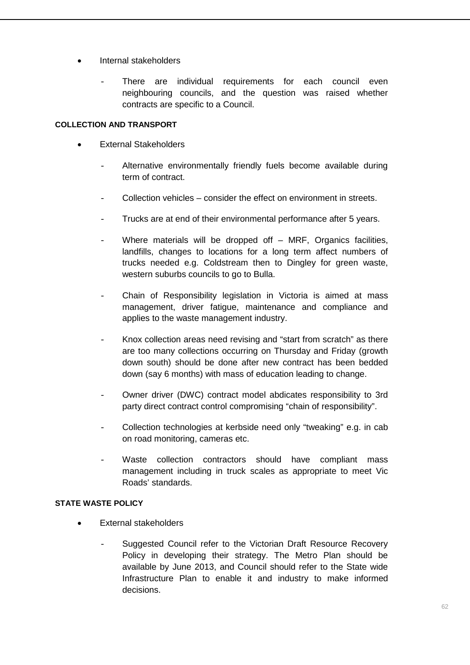- Internal stakeholders
	- There are individual requirements for each council even neighbouring councils, and the question was raised whether contracts are specific to a Council.

### **COLLECTION AND TRANSPORT**

- External Stakeholders
	- Alternative environmentally friendly fuels become available during term of contract.
	- Collection vehicles consider the effect on environment in streets.
	- Trucks are at end of their environmental performance after 5 years.
	- Where materials will be dropped off  $-$  MRF, Organics facilities, landfills, changes to locations for a long term affect numbers of trucks needed e.g. Coldstream then to Dingley for green waste, western suburbs councils to go to Bulla.
	- Chain of Responsibility legislation in Victoria is aimed at mass management, driver fatigue, maintenance and compliance and applies to the waste management industry.
	- Knox collection areas need revising and "start from scratch" as there are too many collections occurring on Thursday and Friday (growth down south) should be done after new contract has been bedded down (say 6 months) with mass of education leading to change.
	- Owner driver (DWC) contract model abdicates responsibility to 3rd party direct contract control compromising "chain of responsibility".
	- Collection technologies at kerbside need only "tweaking" e.g. in cab on road monitoring, cameras etc.
	- Waste collection contractors should have compliant mass management including in truck scales as appropriate to meet Vic Roads' standards.

# **STATE WASTE POLICY**

- External stakeholders
	- Suggested Council refer to the Victorian Draft Resource Recovery Policy in developing their strategy. The Metro Plan should be available by June 2013, and Council should refer to the State wide Infrastructure Plan to enable it and industry to make informed decisions.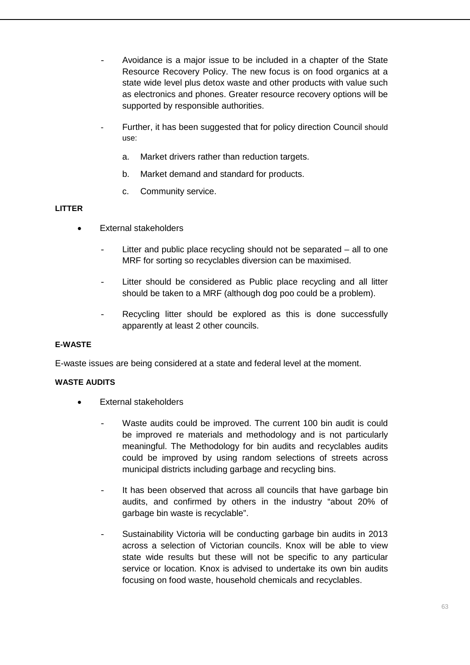- Avoidance is a major issue to be included in a chapter of the State Resource Recovery Policy. The new focus is on food organics at a state wide level plus detox waste and other products with value such as electronics and phones. Greater resource recovery options will be supported by responsible authorities.
- Further, it has been suggested that for policy direction Council should use:
	- a. Market drivers rather than reduction targets.
	- b. Market demand and standard for products.
	- c. Community service.

# **LITTER**

- **External stakeholders** 
	- Litter and public place recycling should not be separated  $-$  all to one MRF for sorting so recyclables diversion can be maximised.
	- Litter should be considered as Public place recycling and all litter should be taken to a MRF (although dog poo could be a problem).
	- Recycling litter should be explored as this is done successfully apparently at least 2 other councils.

# **E-WASTE**

E-waste issues are being considered at a state and federal level at the moment.

# **WASTE AUDITS**

- External stakeholders
	- Waste audits could be improved. The current 100 bin audit is could be improved re materials and methodology and is not particularly meaningful. The Methodology for bin audits and recyclables audits could be improved by using random selections of streets across municipal districts including garbage and recycling bins.
	- It has been observed that across all councils that have garbage bin audits, and confirmed by others in the industry "about 20% of garbage bin waste is recyclable".
	- Sustainability Victoria will be conducting garbage bin audits in 2013 across a selection of Victorian councils. Knox will be able to view state wide results but these will not be specific to any particular service or location. Knox is advised to undertake its own bin audits focusing on food waste, household chemicals and recyclables.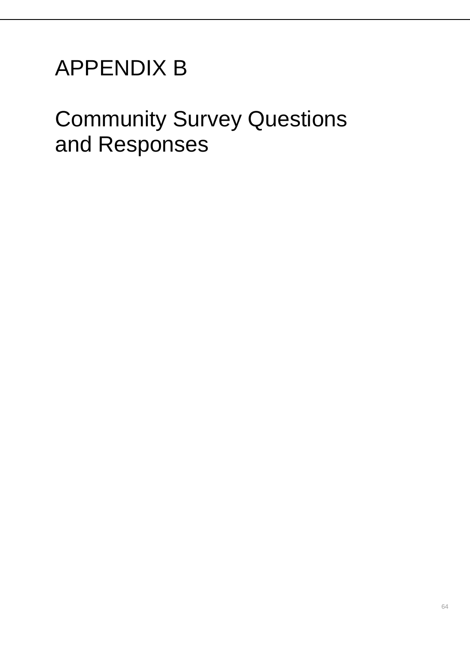# APPENDIX B

# Community Survey Questions and Responses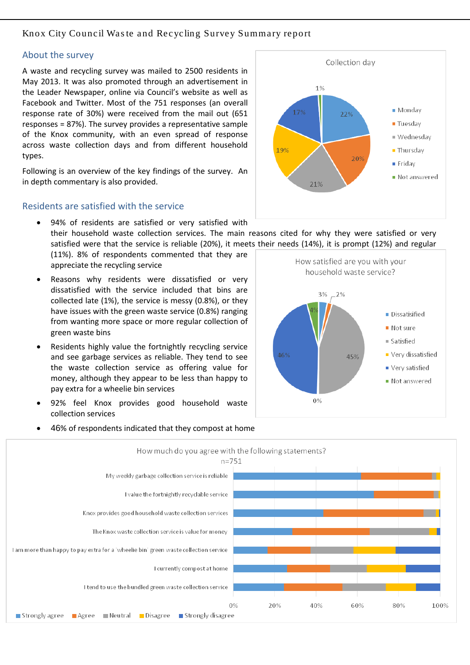# Knox City Council Was te and Recycling Survey Summary report

#### About the survey

A waste and recycling survey was mailed to 2500 residents in May 2013. It was also promoted through an advertisement in the Leader Newspaper, online via Council's website as well as Facebook and Twitter. Most of the 751 responses (an overall response rate of 30%) were received from the mail out (651 responses = 87%). The survey provides a representative sample of the Knox community, with an even spread of response across waste collection days and from different household types.

Following is an overview of the key findings of the survey. An in depth commentary is also provided.

# Residents are satisfied with the service



their household waste collection services. The main reasons cited for why they were satisfied or very satisfied were that the service is reliable (20%), it meets their needs (14%), it is prompt (12%) and regular

(11%). 8% of respondents commented that they are appreciate the recycling service

• 94% of residents are satisfied or very satisfied with

- Reasons why residents were dissatisfied or very dissatisfied with the service included that bins are collected late (1%), the service is messy (0.8%), or they have issues with the green waste service (0.8%) ranging from wanting more space or more regular collection of green waste bins
- Residents highly value the fortnightly recycling service and see garbage services as reliable. They tend to see the waste collection service as offering value for money, although they appear to be less than happy to pay extra for a wheelie bin services
- 92% feel Knox provides good household waste collection services

• 46% of respondents indicated that they compost at home



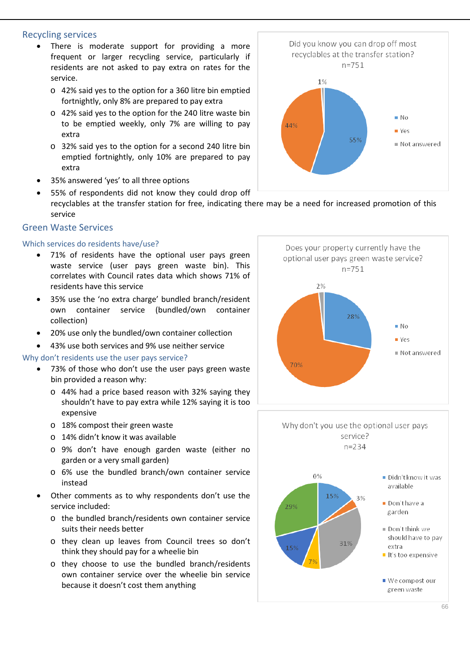## Recycling services

- There is moderate support for providing a more frequent or larger recycling service, particularly if residents are not asked to pay extra on rates for the service.
	- o 42% said yes to the option for a 360 litre bin emptied fortnightly, only 8% are prepared to pay extra
	- o 42% said yes to the option for the 240 litre waste bin to be emptied weekly, only 7% are willing to pay extra
	- o 32% said yes to the option for a second 240 litre bin emptied fortnightly, only 10% are prepared to pay extra
- 35% answered 'yes' to all three options
- 55% of respondents did not know they could drop off recyclables at the transfer station for free, indicating there may be a need for increased promotion of this service

# Green Waste Services

# Which services do residents have/use?

- 71% of residents have the optional user pays green waste service (user pays green waste bin). This correlates with Council rates data which shows 71% of residents have this service
- 35% use the 'no extra charge' bundled branch/resident own container service (bundled/own container collection)
- 20% use only the bundled/own container collection
- 43% use both services and 9% use neither service

#### Why don't residents use the user pays service?

- 73% of those who don't use the user pays green waste bin provided a reason why:
	- o 44% had a price based reason with 32% saying they shouldn't have to pay extra while 12% saying it is too expensive
	- o 18% compost their green waste
	- o 14% didn't know it was available
	- o 9% don't have enough garden waste (either no garden or a very small garden)
	- o 6% use the bundled branch/own container service instead
- Other comments as to why respondents don't use the service included:
	- o the bundled branch/residents own container service suits their needs better
	- o they clean up leaves from Council trees so don't think they should pay for a wheelie bin
	- o they choose to use the bundled branch/residents own container service over the wheelie bin service because it doesn't cost them anything





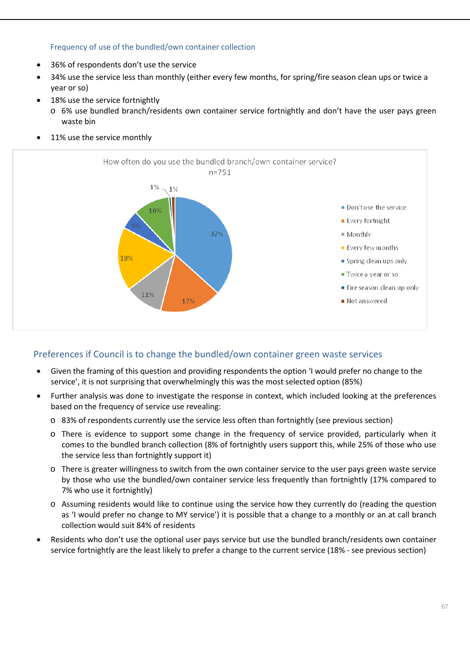### Frequency of use of the bundled/own container collection

- 36% of respondents don't use the service
- 34% use the service less than monthly (either every few months, for spring/fire season clean ups or twice a year or so)
- 18% use the service fortnightly
	- o 6% use bundled branch/residents own container service fortnightly and don't have the user pays green waste bin
- 11% use the service monthly



# Preferences if Council is to change the bundled/own container green waste services

- Given the framing of this question and providing respondents the option 'I would prefer no change to the service', it is not surprising that overwhelmingly this was the most selected option (85%)
- Further analysis was done to investigate the response in context, which included looking at the preferences based on the frequency of service use revealing:
	- o 83% of respondents currently use the service less often than fortnightly (see previous section)
	- o There is evidence to support some change in the frequency of service provided, particularly when it comes to the bundled branch collection (8% of fortnightly users support this, while 25% of those who use the service less than fortnightly support it)
	- o There is greater willingness to switch from the own container service to the user pays green waste service by those who use the bundled/own container service less frequently than fortnightly (17% compared to 7% who use it fortnightly)
	- o Assuming residents would like to continue using the service how they currently do (reading the question as 'I would prefer no change to MY service') it is possible that a change to a monthly or an at call branch collection would suit 84% of residents
- Residents who don't use the optional user pays service but use the bundled branch/residents own container service fortnightly are the least likely to prefer a change to the current service (18% - see previous section)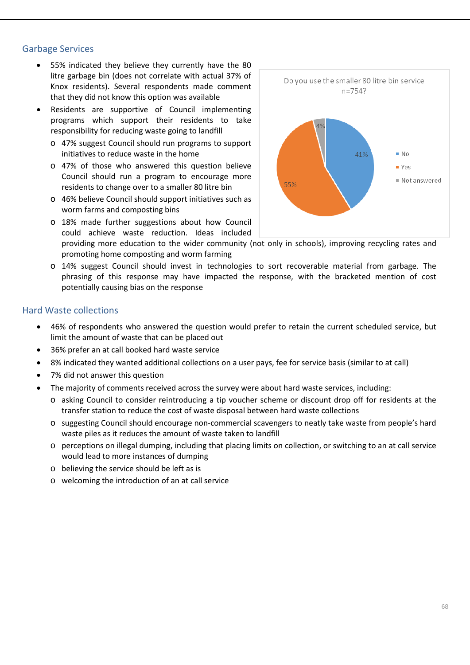# Garbage Services

- 55% indicated they believe they currently have the 80 litre garbage bin (does not correlate with actual 37% of Knox residents). Several respondents made comment that they did not know this option was available
- Residents are supportive of Council implementing programs which support their residents to take responsibility for reducing waste going to landfill
	- o 47% suggest Council should run programs to support initiatives to reduce waste in the home
	- o 47% of those who answered this question believe Council should run a program to encourage more residents to change over to a smaller 80 litre bin
	- o 46% believe Council should support initiatives such as worm farms and composting bins
	- o 18% made further suggestions about how Council could achieve waste reduction. Ideas included



providing more education to the wider community (not only in schools), improving recycling rates and promoting home composting and worm farming

o 14% suggest Council should invest in technologies to sort recoverable material from garbage. The phrasing of this response may have impacted the response, with the bracketed mention of cost potentially causing bias on the response

# Hard Waste collections

- 46% of respondents who answered the question would prefer to retain the current scheduled service, but limit the amount of waste that can be placed out
- 36% prefer an at call booked hard waste service
- 8% indicated they wanted additional collections on a user pays, fee for service basis (similar to at call)
- 7% did not answer this question
- The majority of comments received across the survey were about hard waste services, including:
	- o asking Council to consider reintroducing a tip voucher scheme or discount drop off for residents at the transfer station to reduce the cost of waste disposal between hard waste collections
	- o suggesting Council should encourage non-commercial scavengers to neatly take waste from people's hard waste piles as it reduces the amount of waste taken to landfill
	- o perceptions on illegal dumping, including that placing limits on collection, or switching to an at call service would lead to more instances of dumping
	- o believing the service should be left as is
	- o welcoming the introduction of an at call service